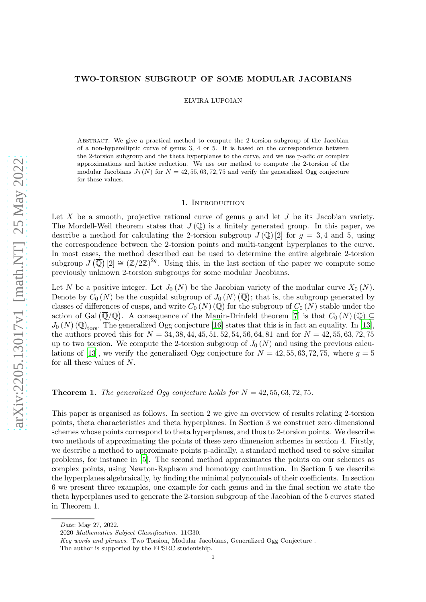# TWO-TORSION SUBGROUP OF SOME MODULAR JACOBIANS

ELVIRA LUPOIAN

Abstract. We give a practical method to compute the 2-torsion subgroup of the Jacobian of a non-hyperelliptic curve of genus 3, 4 or 5. It is based on the correspondence between the 2-torsion subgroup and the theta hyperplanes to the curve, and we use p-adic or complex approximations and lattice reduction. We use our method to compute the 2-torsion of the modular Jacobians  $J_0(N)$  for  $N = 42, 55, 63, 72, 75$  and verify the generalized Ogg conjecture for these values.

## 1. INTRODUCTION

Let X be a smooth, projective rational curve of genus  $g$  and let  $J$  be its Jacobian variety. The Mordell-Weil theorem states that  $J(\mathbb{Q})$  is a finitely generated group. In this paper, we describe a method for calculating the 2-torsion subgroup  $J(\mathbb{Q})$  [2] for  $q = 3, 4$  and 5, using the correspondence between the 2-torsion points and multi-tangent hyperplanes to the curve. In most cases, the method described can be used to determine the entire algebraic 2-torsion subgroup  $J(\overline{\mathbb{Q}})$   $[2] \cong (\mathbb{Z}/2\mathbb{Z})^{2g}$ . Using this, in the last section of the paper we compute some previously unknown 2-torsion subgroups for some modular Jacobians.

Let N be a positive integer. Let  $J_0(N)$  be the Jacobian variety of the modular curve  $X_0(N)$ . Denote by  $C_0(N)$  be the cuspidal subgroup of  $J_0(N)$   $(\overline{\mathbb{Q}})$ ; that is, the subgroup generated by classes of differences of cusps, and write  $C_0(N)$  (Q) for the subgroup of  $C_0(N)$  stable under the action of Gal  $(\overline{\mathbb{Q}}/\mathbb{Q})$ . A consequence of the Manin-Drinfeld theorem [\[7\]](#page-32-0) is that  $C_0(N)(\mathbb{Q}) \subseteq$  $J_0(N)$  (Q)<sub>tors</sub>. The generalized Ogg conjecture [\[16](#page-33-0)] states that this is in fact an equality. In [\[13](#page-32-1)], the authors proved this for  $N = 34, 38, 44, 45, 51, 52, 54, 56, 64, 81$  and for  $N = 42, 55, 63, 72, 75$ up to two torsion. We compute the 2-torsion subgroup of  $J_0(N)$  and using the previous calcu-lations of [\[13](#page-32-1)], we verify the generalized Ogg conjecture for  $N = 42, 55, 63, 72, 75$ , where  $q = 5$ for all these values of N.

**Theorem 1.** The generalized Ogg conjecture holds for  $N = 42, 55, 63, 72, 75$ .

This paper is organised as follows. In section 2 we give an overview of results relating 2-torsion points, theta characteristics and theta hyperplanes. In Section 3 we construct zero dimensional schemes whose points correspond to theta hyperplanes, and thus to 2-torsion points. We describe two methods of approximating the points of these zero dimension schemes in section 4. Firstly, we describe a method to approximate points p-adically, a standard method used to solve similar problems, for instance in [\[5](#page-32-2)]. The second method approximates the points on our schemes as complex points, using Newton-Raphson and homotopy continuation. In Section 5 we describe the hyperplanes algebraically, by finding the minimal polynomials of their coefficients. In section 6 we present three examples, one example for each genus and in the final section we state the theta hyperplanes used to generate the 2-torsion subgroup of the Jacobian of the 5 curves stated in Theorem 1.

Date: May 27, 2022.

<sup>2020</sup> Mathematics Subject Classification. 11G30.

Key words and phrases. Two Torsion, Modular Jacobians, Generalized Ogg Conjecture .

The author is supported by the EPSRC studentship.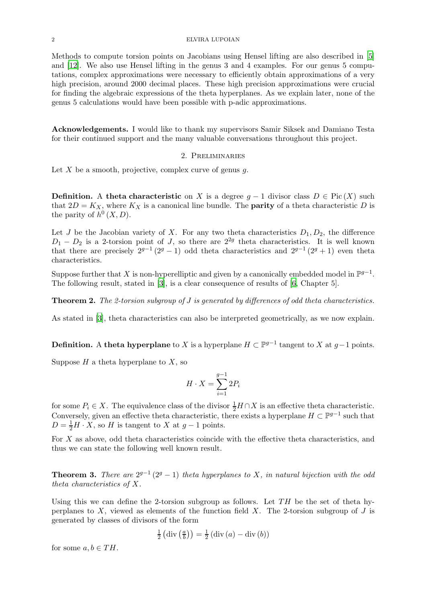#### 2 ELVIRA LUPOIAN

Methods to compute torsion points on Jacobians using Hensel lifting are also described in [\[5](#page-32-2)] and [\[12\]](#page-32-3). We also use Hensel lifting in the genus 3 and 4 examples. For our genus 5 computations, complex approximations were necessary to efficiently obtain approximations of a very high precision, around 2000 decimal places. These high precision approximations were crucial for finding the algebraic expressions of the theta hyperplanes. As we explain later, none of the genus 5 calculations would have been possible with p-adic approximations.

Acknowledgements. I would like to thank my supervisors Samir Siksek and Damiano Testa for their continued support and the many valuable conversations throughout this project.

# 2. Preliminaries

Let X be a smooth, projective, complex curve of genus  $q$ .

**Definition.** A theta characteristic on X is a degree  $q - 1$  divisor class  $D \in Pic(X)$  such that  $2D = K_X$ , where  $K_X$  is a canonical line bundle. The **parity** of a theta characteristic D is the parity of  $h^0(X, D)$ .

Let J be the Jacobian variety of X. For any two theta characteristics  $D_1, D_2$ , the difference  $D_1 - D_2$  is a 2-torsion point of J, so there are  $2^{2g}$  theta characteristics. It is well known that there are precisely  $2^{g-1}(2^g-1)$  odd theta characteristics and  $2^{g-1}(2^g+1)$  even theta characteristics.

Suppose further that X is non-hyperelliptic and given by a canonically embedded model in  $\mathbb{P}^{g-1}$ . The following result, stated in [\[3\]](#page-32-4), is a clear consequence of results of [\[6](#page-32-5), Chapter 5].

Theorem 2. The 2-torsion subgroup of J is generated by differences of odd theta characteristics.

As stated in [\[3](#page-32-4)], theta characteristics can also be interpreted geometrically, as we now explain.

**Definition.** A theta hyperplane to X is a hyperplane  $H \subset \mathbb{P}^{g-1}$  tangent to X at  $g-1$  points.

Suppose  $H$  a theta hyperplane to  $X$ , so

$$
H \cdot X = \sum_{i=1}^{g-1} 2P_i
$$

for some  $P_i \in X$ . The equivalence class of the divisor  $\frac{1}{2}H \cap X$  is an effective theta characteristic. Conversely, given an effective theta characteristic, there exists a hyperplane  $H \subset \mathbb{P}^{g-1}$  such that  $D = \frac{1}{2}H \cdot X$ , so H is tangent to X at  $g - 1$  points.

For X as above, odd theta characteristics coincide with the effective theta characteristics, and thus we can state the following well known result.

**Theorem 3.** There are  $2^{g-1}(2^g-1)$  theta hyperplanes to X, in natural bijection with the odd theta characteristics of X.

Using this we can define the 2-torsion subgroup as follows. Let  $TH$  be the set of theta hyperplanes to  $X$ , viewed as elements of the function field  $X$ . The 2-torsion subgroup of  $J$  is generated by classes of divisors of the form

$$
\frac{1}{2} (\text{div} \left( \frac{a}{b} \right)) = \frac{1}{2} (\text{div} \left( a \right) - \text{div} \left( b \right))
$$

for some  $a, b \in TH$ .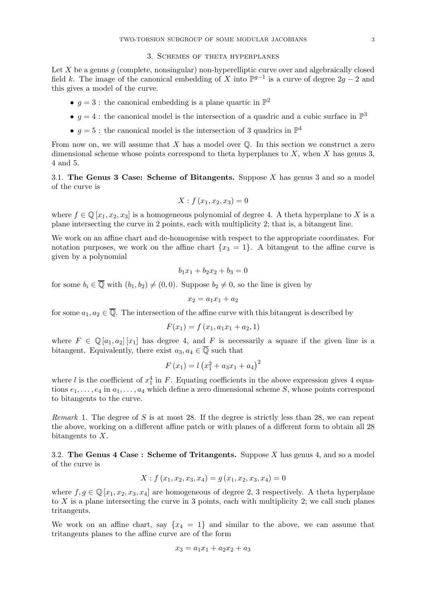## 3. Schemes of theta hyperplanes

Let  $X$  be a genus  $q$  (complete, nonsingular) non-hyperelliptic curve over and algebraically closed field k. The image of the canonical embedding of X into  $\mathbb{P}^{g-1}$  is a curve of degree  $2g-2$  and this gives a model of the curve.

- $g = 3$ : the canonical embedding is a plane quartic in  $\mathbb{P}^2$
- $g = 4$ : the canonical model is the intersection of a quadric and a cubic surface in  $\mathbb{P}^3$
- $g = 5$ : the canonical model is the intersection of 3 quadrics in  $\mathbb{P}^4$

From now on, we will assume that  $X$  has a model over  $\mathbb Q$ . In this section we construct a zero dimensional scheme whose points correspond to theta hyperplanes to  $X$ , when  $X$  has genus 3, 4 and 5.

3.1. The Genus 3 Case: Scheme of Bitangents. Suppose X has genus 3 and so a model of the curve is

$$
X: f(x_1, x_2, x_3) = 0
$$

where  $f \in \mathbb{Q}[x_1, x_2, x_3]$  is a homogeneous polynomial of degree 4. A theta hyperplane to X is a plane intersecting the curve in 2 points, each with multiplicity 2; that is, a bitangent line.

We work on an affine chart and de-homogenise with respect to the appropriate coordinates. For notation purposes, we work on the affine chart  $\{x_3 = 1\}$ . A bitangent to the affine curve is given by a polynomial

$$
b_1x_1 + b_2x_2 + b_3 = 0
$$

for some  $b_i \in \overline{\mathbb{Q}}$  with  $(b_1, b_2) \neq (0, 0)$ . Suppose  $b_2 \neq 0$ , so the line is given by

$$
x_2 = a_1 x_1 + a_2
$$

for some  $a_1, a_2 \in \overline{\mathbb{Q}}$ . The intersection of the affine curve with this bitangent is described by

$$
F(x_1) = f(x_1, a_1x_1 + a_2, 1)
$$

where  $F \in \mathbb{Q}[a_1, a_2][x_1]$  has degree 4, and F is necessarily a square if the given line is a bitangent. Equivalently, there exist  $a_3, a_4 \in \overline{Q}$  such that

$$
F(x_1) = l(x_1^2 + a_3x_1 + a_4)^2
$$

where l is the coefficient of  $x_1^4$  in F. Equating coefficients in the above expression gives 4 equations  $e_1, \ldots, e_4$  in  $a_1, \ldots, a_4$  which define a zero dimensional scheme S, whose points correspond to bitangents to the curve.

Remark 1. The degree of  $S$  is at most 28. If the degree is strictly less than 28, we can repeat the above, working on a different affine patch or with planes of a different form to obtain all 28 bitangents to  $X$ .

3.2. The Genus  $4$  Case: Scheme of Tritangents. Suppose X has genus 4, and so a model of the curve is

$$
X: f(x_1, x_2, x_3, x_4) = g(x_1, x_2, x_3, x_4) = 0
$$

where  $f, g \in \mathbb{Q}[x_1, x_2, x_3, x_4]$  are homogeneous of degree 2, 3 respectively. A theta hyperplane to  $X$  is a plane intersecting the curve in 3 points, each with multiplicity 2; we call such planes tritangents.

We work on an affine chart, say  $\{x_4 = 1\}$  and similar to the above, we can assume that tritangents planes to the affine curve are of the form

$$
x_3 = a_1 x_1 + a_2 x_2 + a_3
$$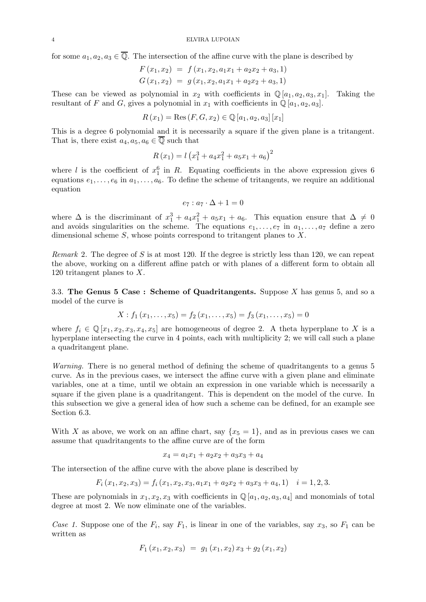for some  $a_1, a_2, a_3 \in \overline{\mathbb{Q}}$ . The intersection of the affine curve with the plane is described by

$$
F(x_1, x_2) = f(x_1, x_2, a_1x_1 + a_2x_2 + a_3, 1)
$$
  
\n
$$
G(x_1, x_2) = g(x_1, x_2, a_1x_1 + a_2x_2 + a_3, 1)
$$

These can be viewed as polynomial in  $x_2$  with coefficients in  $\mathbb{Q}[a_1, a_2, a_3, x_1]$ . Taking the resultant of F and G, gives a polynomial in  $x_1$  with coefficients in  $\mathbb{Q}[a_1, a_2, a_3]$ .

$$
R(x_1) = \text{Res}(F, G, x_2) \in \mathbb{Q}[a_1, a_2, a_3][x_1]
$$

This is a degree 6 polynomial and it is necessarily a square if the given plane is a tritangent. That is, there exist  $a_4, a_5, a_6 \in \overline{\mathbb{Q}}$  such that

$$
R(x_1) = l(x_1^3 + a_4x_1^2 + a_5x_1 + a_6)^2
$$

where l is the coefficient of  $x_1^6$  in R. Equating coefficients in the above expression gives 6 equations  $e_1, \ldots, e_6$  in  $a_1, \ldots, a_6$ . To define the scheme of tritangents, we require an additional equation

$$
e_7: a_7 \cdot \Delta + 1 = 0
$$

where  $\Delta$  is the discriminant of  $x_1^3 + a_4x_1^2 + a_5x_1 + a_6$ . This equation ensure that  $\Delta \neq 0$ and avoids singularities on the scheme. The equations  $e_1, \ldots, e_7$  in  $a_1, \ldots, a_7$  define a zero dimensional scheme S, whose points correspond to tritangent planes to X.

*Remark* 2. The degree of S is at most 120. If the degree is strictly less than 120, we can repeat the above, working on a different affine patch or with planes of a different form to obtain all 120 tritangent planes to X.

3.3. The Genus  $5 \text{ Case : Scheme of Quadritangents. Suppose } X \text{ has genus } 5 \text{ and so a}$ model of the curve is

$$
X: f_1(x_1,\ldots,x_5) = f_2(x_1,\ldots,x_5) = f_3(x_1,\ldots,x_5) = 0
$$

where  $f_i \in \mathbb{Q}[x_1, x_2, x_3, x_4, x_5]$  are homogeneous of degree 2. A theta hyperplane to X is a hyperplane intersecting the curve in 4 points, each with multiplicity 2; we will call such a plane a quadritangent plane.

Warning. There is no general method of defining the scheme of quadritangents to a genus 5 curve. As in the previous cases, we intersect the affine curve with a given plane and eliminate variables, one at a time, until we obtain an expression in one variable which is necessarily a square if the given plane is a quadritangent. This is dependent on the model of the curve. In this subsection we give a general idea of how such a scheme can be defined, for an example see Section 6.3.

With X as above, we work on an affine chart, say  $\{x_5 = 1\}$ , and as in previous cases we can assume that quadritangents to the affine curve are of the form

$$
x_4 = a_1 x_1 + a_2 x_2 + a_3 x_3 + a_4
$$

The intersection of the affine curve with the above plane is described by

$$
F_i(x_1, x_2, x_3) = f_i(x_1, x_2, x_3, a_1x_1 + a_2x_2 + a_3x_3 + a_4, 1) \quad i = 1, 2, 3.
$$

These are polynomials in  $x_1, x_2, x_3$  with coefficients in  $\mathbb{Q}[a_1, a_2, a_3, a_4]$  and monomials of total degree at most 2. We now eliminate one of the variables.

Case 1. Suppose one of the  $F_i$ , say  $F_1$ , is linear in one of the variables, say  $x_3$ , so  $F_1$  can be written as

$$
F_1(x_1,x_2,x_3) = g_1(x_1,x_2) x_3 + g_2(x_1,x_2)
$$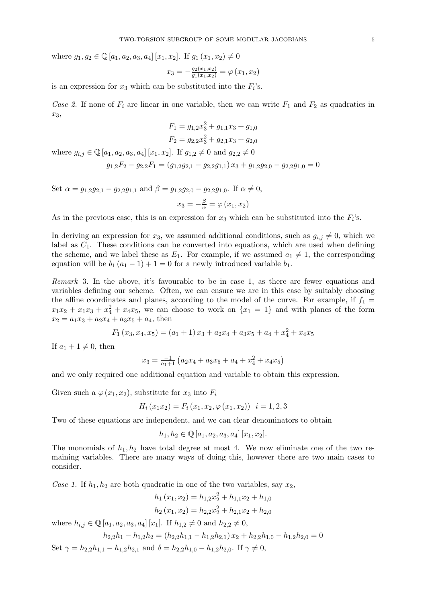where  $g_1, g_2 \in \mathbb{Q}[a_1, a_2, a_3, a_4]$  [ $x_1, x_2$ ]. If  $g_1(x_1, x_2) \neq 0$ 

$$
x_3 = -\frac{g_2(x_1, x_2)}{g_1(x_1, x_2)} = \varphi(x_1, x_2)
$$

is an expression for  $x_3$  which can be substituted into the  $F_i$ 's.

Case 2. If none of  $F_i$  are linear in one variable, then we can write  $F_1$  and  $F_2$  as quadratics in  $x_3$ 

$$
F_1 = g_{1,2}x_3^2 + g_{1,1}x_3 + g_{1,0}
$$
  

$$
F_2 = g_{2,2}x_3^2 + g_{2,1}x_3 + g_{2,0}
$$

where  $g_{i,j} \in \mathbb{Q}[a_1, a_2, a_3, a_4] [x_1, x_2]$ . If  $g_{1,2} \neq 0$  and  $g_{2,2} \neq 0$ 

$$
g_{1,2}F_2 - g_{2,2}F_1 = (g_{1,2}g_{2,1} - g_{2,2}g_{1,1})x_3 + g_{1,2}g_{2,0} - g_{2,2}g_{1,0} = 0
$$

Set  $\alpha = g_{1,2}g_{2,1} - g_{2,2}g_{1,1}$  and  $\beta = g_{1,2}g_{2,0} - g_{2,2}g_{1,0}$ . If  $\alpha \neq 0$ ,  $x_3 = -\frac{\beta}{\alpha} = \varphi(x_1, x_2)$ 

As in the previous case, this is an expression for  $x_3$  which can be substituted into the  $F_i$ 's.

In deriving an expression for  $x_3$ , we assumed additional conditions, such as  $g_{i,j} \neq 0$ , which we label as  $C_1$ . These conditions can be converted into equations, which are used when defining the scheme, and we label these as  $E_1$ . For example, if we assumed  $a_1 \neq 1$ , the corresponding equation will be  $b_1 (a_1 - 1) + 1 = 0$  for a newly introduced variable  $b_1$ .

Remark 3. In the above, it's favourable to be in case 1, as there are fewer equations and variables defining our scheme. Often, we can ensure we are in this case by suitably choosing the affine coordinates and planes, according to the model of the curve. For example, if  $f_1 =$  $x_1x_2 + x_1x_3 + x_4^2 + x_4x_5$ , we can choose to work on  $\{x_1 = 1\}$  and with planes of the form  $x_2 = a_1x_3 + a_2x_4 + a_3x_5 + a_4$ , then

$$
F_1(x_3, x_4, x_5) = (a_1 + 1)x_3 + a_2x_4 + a_3x_5 + a_4 + x_4^2 + x_4x_5
$$

If  $a_1 + 1 \neq 0$ , then

$$
x_3 = \frac{-1}{a_1+1} \left( a_2 x_4 + a_3 x_5 + a_4 + x_4^2 + x_4 x_5 \right)
$$

and we only required one additional equation and variable to obtain this expression.

Given such a  $\varphi(x_1, x_2)$ , substitute for  $x_3$  into  $F_i$ 

$$
H_i(x_1x_2) = F_i(x_1, x_2, \varphi(x_1, x_2)) \quad i = 1, 2, 3
$$

Two of these equations are independent, and we can clear denominators to obtain

$$
h_1, h_2 \in \mathbb{Q}[a_1, a_2, a_3, a_4] [x_1, x_2].
$$

The monomials of  $h_1, h_2$  have total degree at most 4. We now eliminate one of the two remaining variables. There are many ways of doing this, however there are two main cases to consider.

Case 1. If  $h_1, h_2$  are both quadratic in one of the two variables, say  $x_2$ ,

$$
h_1(x_1, x_2) = h_{1,2}x_2^2 + h_{1,1}x_2 + h_{1,0}
$$

$$
h_2(x_1, x_2) = h_{2,2}x_2^2 + h_{2,1}x_2 + h_{2,0}
$$
  
where  $h_{i,j} \in \mathbb{Q}[a_1, a_2, a_3, a_4][x_1]$ . If  $h_{1,2} \neq 0$  and  $h_{2,2} \neq 0$ ,
$$
h_{2,2}h_1 - h_{1,2}h_2 = (h_{2,2}h_{1,1} - h_{1,2}h_{2,1})x_2 + h_{2,2}h_{1,0} - h_{1,2}h_{2,0} = 0
$$

Set  $\gamma = h_{2,2}h_{1,1} - h_{1,2}h_{2,1}$  and  $\delta = h_{2,2}h_{1,0} - h_{1,2}h_{2,0}$ . If  $\gamma \neq 0$ ,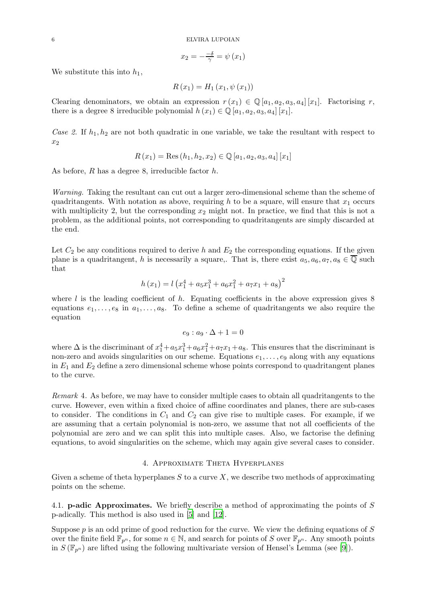$$
x_2 = -\frac{-\delta}{\gamma} = \psi(x_1)
$$

We substitute this into  $h_1$ ,

$$
R(x_1) = H_1(x_1, \psi(x_1))
$$

Clearing denominators, we obtain an expression  $r(x_1) \in \mathbb{Q}[a_1, a_2, a_3, a_4][x_1]$ . Factorising r, there is a degree 8 irreducible polynomial  $h(x_1) \in \mathbb{Q}[a_1, a_2, a_3, a_4][x_1]$ .

Case 2. If  $h_1, h_2$  are not both quadratic in one variable, we take the resultant with respect to  $x_2$ 

$$
R(x_1) = \text{Res}(h_1, h_2, x_2) \in \mathbb{Q}[a_1, a_2, a_3, a_4][x_1]
$$

As before, R has a degree 8, irreducible factor h.

Warning. Taking the resultant can cut out a larger zero-dimensional scheme than the scheme of quadritangents. With notation as above, requiring h to be a square, will ensure that  $x_1$  occurs with multiplicity 2, but the corresponding  $x_2$  might not. In practice, we find that this is not a problem, as the additional points, not corresponding to quadritangents are simply discarded at the end.

Let  $C_2$  be any conditions required to derive h and  $E_2$  the corresponding equations. If the given plane is a quadritangent, h is necessarily a square,. That is, there exist  $a_5, a_6, a_7, a_8 \in \overline{\mathbb{Q}}$  such that

$$
h(x_1) = l(x_1^4 + a_5x_1^3 + a_6x_1^2 + a_7x_1 + a_8)^2
$$

where l is the leading coefficient of h. Equating coefficients in the above expression gives  $8$ equations  $e_1, \ldots, e_8$  in  $a_1, \ldots, a_8$ . To define a scheme of quadritangents we also require the equation

$$
e_9: a_9 \cdot \Delta + 1 = 0
$$

where  $\Delta$  is the discriminant of  $x_1^4 + a_5x_1^3 + a_6x_1^2 + a_7x_1 + a_8$ . This ensures that the discriminant is non-zero and avoids singularities on our scheme. Equations  $e_1, \ldots, e_9$  along with any equations in  $E_1$  and  $E_2$  define a zero dimensional scheme whose points correspond to quadritangent planes to the curve.

Remark 4. As before, we may have to consider multiple cases to obtain all quadritangents to the curve. However, even within a fixed choice of affine coordinates and planes, there are sub-cases to consider. The conditions in  $C_1$  and  $C_2$  can give rise to multiple cases. For example, if we are assuming that a certain polynomial is non-zero, we assume that not all coefficients of the polynomial are zero and we can split this into multiple cases. Also, we factorise the defining equations, to avoid singularities on the scheme, which may again give several cases to consider.

### 4. Approximate Theta Hyperplanes

Given a scheme of theta hyperplanes  $S$  to a curve  $X$ , we describe two methods of approximating points on the scheme.

4.1. **p-adic Approximates.** We briefly describe a method of approximating the points of  $S$ p-adically. This method is also used in [\[5\]](#page-32-2) and [\[12\]](#page-32-3).

Suppose  $p$  is an odd prime of good reduction for the curve. We view the defining equations of  $S$ over the finite field  $\mathbb{F}_{p^n}$ , for some  $n \in \mathbb{N}$ , and search for points of S over  $\mathbb{F}_{p^n}$ . Any smooth points in  $S(\mathbb{F}_{p^n})$  are lifted using the following multivariate version of Hensel's Lemma (see [\[9](#page-32-6)]).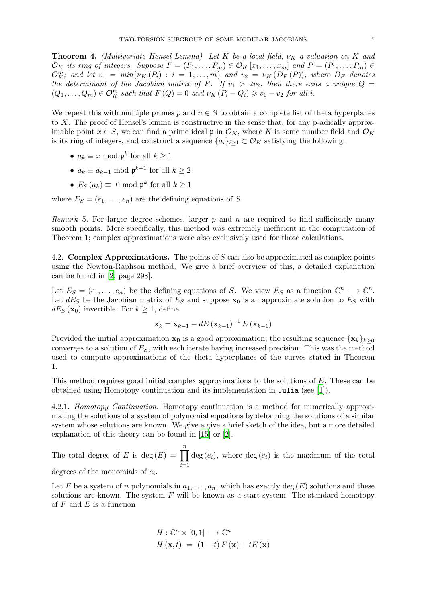**Theorem 4.** (Multivariate Hensel Lemma) Let K be a local field,  $\nu_K$  a valuation on K and  $\mathcal{O}_K$  its ring of integers. Suppose  $F = (F_1, \ldots, F_m) \in \mathcal{O}_K[x_1, \ldots, x_m]$  and  $P = (P_1, \ldots, P_m) \in$  $\mathcal{O}_{K}^{m}$ ; and let  $v_1 = min\{v_K(P_i) : i = 1, ..., m\}$  and  $v_2 = v_K(D_F(P))$ , where  $D_F$  denotes the determinant of the Jacobian matrix of F. If  $v_1 > 2v_2$ , then there exits a unique  $Q =$  $(Q_1, \ldots, Q_m) \in \mathcal{O}_K^m$  such that  $F(Q) = 0$  and  $\nu_K (P_i - Q_i) \geq v_1 - v_2$  for all i.

We repeat this with multiple primes p and  $n \in \mathbb{N}$  to obtain a complete list of theta hyperplanes to X. The proof of Hensel's lemma is constructive in the sense that, for any p-adically approximable point  $x \in S$ , we can find a prime ideal p in  $\mathcal{O}_K$ , where K is some number field and  $\mathcal{O}_K$ is its ring of integers, and construct a sequence  $\{a_i\}_{i\geq 1} \subset \mathcal{O}_K$  satisfying the following.

- $a_k \equiv x \mod \mathfrak{p}^k$  for all  $k \ge 1$
- $a_k \equiv a_{k-1} \mod \mathfrak{p}^{k-1}$  for all  $k \geq 2$
- $E_S(a_k) \equiv 0 \mod p^k$  for all  $k \ge 1$

where  $E_S = (e_1, \ldots, e_n)$  are the defining equations of S.

*Remark* 5. For larger degree schemes, larger p and n are required to find sufficiently many smooth points. More specifically, this method was extremely inefficient in the computation of Theorem 1; complex approximations were also exclusively used for those calculations.

4.2. **Complex Approximations.** The points of S can also be approximated as complex points using the Newton-Raphson method. We give a brief overview of this, a detailed explanation can be found in [\[2,](#page-32-7) page 298].

Let  $E_S = (e_1, \ldots, e_n)$  be the defining equations of S. We view  $E_S$  as a function  $\mathbb{C}^n \longrightarrow \mathbb{C}^n$ . Let  $dE_S$  be the Jacobian matrix of  $E_S$  and suppose  $x_0$  is an approximate solution to  $E_S$  with  $dE_S(\mathbf{x}_0)$  invertible. For  $k \geq 1$ , define

$$
\mathbf{x}_{k} = \mathbf{x}_{k-1} - dE \left(\mathbf{x}_{k-1}\right)^{-1} E \left(\mathbf{x}_{k-1}\right)
$$

Provided the initial approximation  $x_0$  is a good approximation, the resulting sequence  ${x_k}_{k\geq 0}$ converges to a solution of  $E<sub>S</sub>$ , with each iterate having increased precision. This was the method used to compute approximations of the theta hyperplanes of the curves stated in Theorem 1.

This method requires good initial complex approximations to the solutions of E. These can be obtained using Homotopy continuation and its implementation in Julia (see [\[1](#page-32-8)]).

4.2.1. Homotopy Continuation. Homotopy continuation is a method for numerically approximating the solutions of a system of polynomial equations by deforming the solutions of a similar system whose solutions are known. We give a give a brief sketch of the idea, but a more detailed explanation of this theory can be found in [\[15](#page-32-9)] or [\[2\]](#page-32-7).

The total degree of E is deg $(E) = \prod_{n=1}^n$  $i=1$  $deg(e_i)$ , where  $deg(e_i)$  is the maximum of the total degrees of the monomials of  $e_i$ .

Let F be a system of n polynomials in  $a_1, \ldots, a_n$ , which has exactly deg  $(E)$  solutions and these solutions are known. The system  $F$  will be known as a start system. The standard homotopy of  $F$  and  $E$  is a function

$$
H: \mathbb{C}^{n} \times [0,1] \longrightarrow \mathbb{C}^{n}
$$

$$
H(\mathbf{x}, t) = (1-t) F(\mathbf{x}) + tE(\mathbf{x})
$$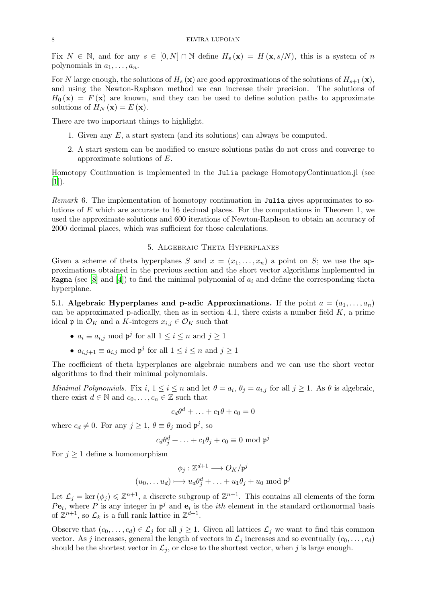Fix  $N \in \mathbb{N}$ , and for any  $s \in [0, N] \cap \mathbb{N}$  define  $H_s(\mathbf{x}) = H(\mathbf{x}, s/N)$ , this is a system of n polynomials in  $a_1, \ldots, a_n$ .

For N large enough, the solutions of  $H_s(\mathbf{x})$  are good approximations of the solutions of  $H_{s+1}(\mathbf{x})$ , and using the Newton-Raphson method we can increase their precision. The solutions of  $H_0(\mathbf{x}) = F(\mathbf{x})$  are known, and they can be used to define solution paths to approximate solutions of  $H_N(\mathbf{x}) = E(\mathbf{x})$ .

There are two important things to highlight.

- 1. Given any E, a start system (and its solutions) can always be computed.
- 2. A start system can be modified to ensure solutions paths do not cross and converge to approximate solutions of E.

Homotopy Continuation is implemented in the Julia package HomotopyContinuation.jl (see  $[1]$  $[1]$ .

Remark 6. The implementation of homotopy continuation in Julia gives approximates to solutions of E which are accurate to 16 decimal places. For the computations in Theorem 1, we used the approximate solutions and 600 iterations of Newton-Raphson to obtain an accuracy of 2000 decimal places, which was sufficient for those calculations.

# 5. Algebraic Theta Hyperplanes

Given a scheme of theta hyperplanes S and  $x = (x_1, \ldots, x_n)$  a point on S; we use the approximations obtained in the previous section and the short vector algorithms implemented in Magma (see [\[8](#page-32-10)] and [\[4](#page-32-11)]) to find the minimal polynomial of  $a_i$  and define the corresponding theta hyperplane.

5.1. Algebraic Hyperplanes and p-adic Approximations. If the point  $a = (a_1, \ldots, a_n)$ can be approximated p-adically, then as in section 4.1, there exists a number field  $K$ , a prime ideal p in  $\mathcal{O}_K$  and a K-integers  $x_{i,j} \in \mathcal{O}_K$  such that

- $a_i \equiv a_{i,j} \mod \mathfrak{p}^j$  for all  $1 \leq i \leq n$  and  $j \geq 1$
- $a_{i,j+1} \equiv a_{i,j} \mod \mathfrak{p}^j$  for all  $1 \leq i \leq n$  and  $j \geq 1$

The coefficient of theta hyperplanes are algebraic numbers and we can use the short vector algorithms to find their minimal polynomials.

Minimal Polynomials. Fix i,  $1 \leq i \leq n$  and let  $\theta = a_i$ ,  $\theta_j = a_{i,j}$  for all  $j \geq 1$ . As  $\theta$  is algebraic, there exist  $d \in \mathbb{N}$  and  $c_0, \ldots, c_n \in \mathbb{Z}$  such that

$$
c_d\theta^d + \ldots + c_1\theta + c_0 = 0
$$

where  $c_d \neq 0$ . For any  $j \geq 1$ ,  $\theta \equiv \theta_j \mod \mathfrak{p}^j$ , so

$$
c_d\theta_j^d + \ldots + c_1\theta_j + c_0 \equiv 0 \mod \mathfrak{p}^j
$$

For  $j \geq 1$  define a homomorphism

$$
\phi_j : \mathbb{Z}^{d+1} \longrightarrow O_K/\mathfrak{p}^j
$$

$$
(u_0, \dots u_d) \longmapsto u_d \theta_j^d + \dots + u_1 \theta_j + u_0 \mod \mathfrak{p}^j
$$

Let  $\mathcal{L}_j = \ker (\phi_j) \leq \mathbb{Z}^{n+1}$ , a discrete subgroup of  $\mathbb{Z}^{n+1}$ . This contains all elements of the form  $Pe_i$ , where P is any integer in  $\mathfrak{p}^j$  and  $\mathbf{e}_i$  is the *ith* element in the standard orthonormal basis of  $\mathbb{Z}^{n+1}$ , so  $\mathcal{L}_k$  is a full rank lattice in  $\mathbb{Z}^{d+1}$ .

Observe that  $(c_0, \ldots, c_d) \in \mathcal{L}_j$  for all  $j \geq 1$ . Given all lattices  $\mathcal{L}_j$  we want to find this common vector. As j increases, general the length of vectors in  $\mathcal{L}_j$  increases and so eventually  $(c_0, \ldots, c_d)$ should be the shortest vector in  $\mathcal{L}_i$ , or close to the shortest vector, when j is large enough.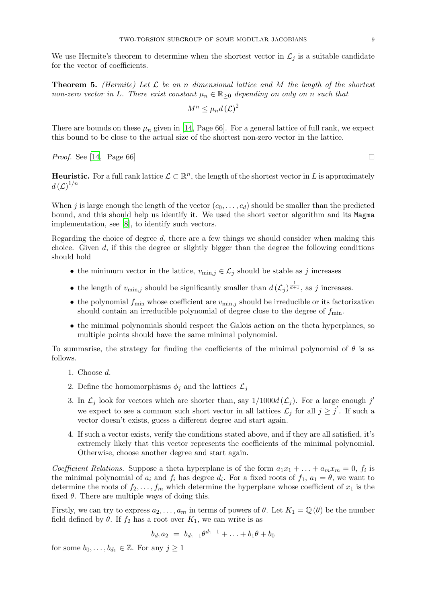We use Hermite's theorem to determine when the shortest vector in  $\mathcal{L}_j$  is a suitable candidate for the vector of coefficients.

**Theorem 5.** (Hermite) Let  $\mathcal{L}$  be an n dimensional lattice and M the length of the shortest non-zero vector in L. There exist constant  $\mu_n \in \mathbb{R}_{\geq 0}$  depending on only on n such that

$$
M^n \leq \mu_n d\left(\mathcal{L}\right)^2
$$

There are bounds on these  $\mu_n$  given in [\[14](#page-32-12), Page 66]. For a general lattice of full rank, we expect this bound to be close to the actual size of the shortest non-zero vector in the lattice.

*Proof.* See [\[14](#page-32-12), Page 66]

**Heuristic.** For a full rank lattice  $\mathcal{L} \subset \mathbb{R}^n$ , the length of the shortest vector in L is approximately  $d\left(\mathcal{L}\right)^{1/n}$ 

When j is large enough the length of the vector  $(c_0, \ldots, c_d)$  should be smaller than the predicted bound, and this should help us identify it. We used the short vector algorithm and its Magma implementation, see [\[8](#page-32-10)], to identify such vectors.

Regarding the choice of degree d, there are a few things we should consider when making this choice. Given  $d$ , if this the degree or slightly bigger than the degree the following conditions should hold

- the minimum vector in the lattice,  $v_{\text{min},j} \in \mathcal{L}_j$  should be stable as j increases
- the length of  $v_{\min,j}$  should be significantly smaller than  $d\left(\mathcal{L}_j\right)^{\frac{1}{d+1}}$ , as j increases.
- the polynomial  $f_{\text{min}}$  whose coefficient are  $v_{\text{min},j}$  should be irreducible or its factorization should contain an irreducible polynomial of degree close to the degree of  $f_{\text{min}}$ .
- the minimal polynomials should respect the Galois action on the theta hyperplanes, so multiple points should have the same minimal polynomial.

To summarise, the strategy for finding the coefficients of the minimal polynomial of  $\theta$  is as follows.

- 1. Choose d.
- 2. Define the homomorphisms  $\phi_i$  and the lattices  $\mathcal{L}_i$
- 3. In  $\mathcal{L}_j$  look for vectors which are shorter than, say  $1/1000d(\mathcal{L}_j)$ . For a large enough j' we expect to see a common such short vector in all lattices  $\mathcal{L}_j$  for all  $j \geq j'$ . If such a vector doesn't exists, guess a different degree and start again.
- 4. If such a vector exists, verify the conditions stated above, and if they are all satisfied, it's extremely likely that this vector represents the coefficients of the minimal polynomial. Otherwise, choose another degree and start again.

Coefficient Relations. Suppose a theta hyperplane is of the form  $a_1x_1 + \ldots + a_mx_m = 0$ ,  $f_i$  is the minimal polynomial of  $a_i$  and  $f_i$  has degree  $d_i$ . For a fixed roots of  $f_1$ ,  $a_1 = \theta$ , we want to determine the roots of  $f_2, \ldots, f_m$  which determine the hyperplane whose coefficient of  $x_1$  is the fixed  $\theta$ . There are multiple ways of doing this.

Firstly, we can try to express  $a_2, \ldots, a_m$  in terms of powers of  $\theta$ . Let  $K_1 = \mathbb{Q}(\theta)$  be the number field defined by  $\theta$ . If  $f_2$  has a root over  $K_1$ , we can write is as

$$
b_{d_1}a_2 = b_{d_1-1}\theta^{d_1-1} + \ldots + b_1\theta + b_0
$$

for some  $b_0, \ldots, b_{d_1} \in \mathbb{Z}$ . For any  $j \geq 1$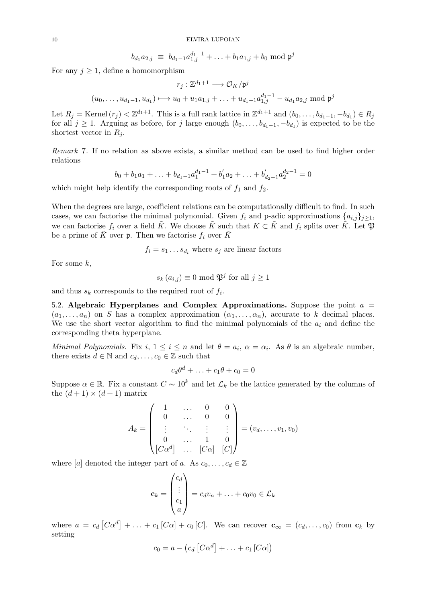$$
b_{d_1} a_{2,j} \equiv b_{d_1-1} a_{1,j}^{d_1-1} + \ldots + b_1 a_{1,j} + b_0 \bmod \mathfrak{p}^j
$$

For any  $j \geq 1$ , define a homomorphism

$$
r_j: \mathbb{Z}^{d_1+1} \longrightarrow \mathcal{O}_K/\mathfrak{p}^j
$$

$$
(u_0, \dots, u_{d_1-1}, u_{d_1}) \longmapsto u_0 + u_1 a_{1,j} + \dots + u_{d_1-1} a_{1,j}^{d_1-1} - u_{d_1} a_{2,j} \text{ mod } \mathfrak{p}^j
$$

Let  $R_j = \text{Kernel}(r_j) < \mathbb{Z}^{d_1+1}$ . This is a full rank lattice in  $\mathbb{Z}^{d_1+1}$  and  $(b_0, \ldots, b_{d_1-1}, -b_{d_1}) \in R_j$ for all  $j \geq 1$ . Arguing as before, for j large enough  $(b_0, \ldots, b_{d_1-1}, -b_{d_1})$  is expected to be the shortest vector in  $R_i$ .

Remark 7. If no relation as above exists, a similar method can be used to find higher order relations

$$
b_0 + b_1 a_1 + \ldots + b_{d_1 - 1} a_1^{d_1 - 1} + b'_1 a_2 + \ldots + b'_{d_2 - 1} a_2^{d_2 - 1} = 0
$$

which might help identify the corresponding roots of  $f_1$  and  $f_2$ .

When the degrees are large, coefficient relations can be computationally difficult to find. In such cases, we can factorise the minimal polynomial. Given  $f_i$  and p-adic approximations  $\{a_{i,j}\}_{j\geq 1}$ , we can factorise  $f_i$  over a field  $\tilde{K}$ . We choose  $\tilde{K}$  such that  $K \subset \tilde{K}$  and  $f_i$  splits over  $\tilde{K}$ . Let  $\mathfrak{P}$ be a prime of  $\tilde{K}$  over  $\mathfrak{p}$ . Then we factorise  $f_i$  over  $\tilde{K}$ 

 $f_i = s_1 \dots s_{d_i}$  where  $s_j$  are linear factors

For some  $k$ ,

 $s_k(a_{i,j}) \equiv 0 \mod \mathfrak{P}^j$  for all  $j \geq 1$ 

and thus  $s_k$  corresponds to the required root of  $f_i$ .

5.2. Algebraic Hyperplanes and Complex Approximations. Suppose the point  $a =$  $(a_1, \ldots, a_n)$  on S has a complex approximation  $(\alpha_1, \ldots, \alpha_n)$ , accurate to k decimal places. We use the short vector algorithm to find the minimal polynomials of the  $a_i$  and define the corresponding theta hyperplane.

Minimal Polynomials. Fix  $i, 1 \leq i \leq n$  and let  $\theta = a_i, \alpha = \alpha_i$ . As  $\theta$  is an algebraic number, there exists  $d \in \mathbb{N}$  and  $c_d, \ldots, c_0 \in \mathbb{Z}$  such that

$$
c_d\theta^d + \ldots + c_1\theta + c_0 = 0
$$

Suppose  $\alpha \in \mathbb{R}$ . Fix a constant  $C \sim 10^k$  and let  $\mathcal{L}_k$  be the lattice generated by the columns of the  $(d+1) \times (d+1)$  matrix

$$
A_k = \begin{pmatrix} 1 & \dots & 0 & 0 \\ 0 & \dots & 0 & 0 \\ \vdots & \ddots & \vdots & \vdots \\ 0 & \dots & 1 & 0 \\ [C\alpha^d] & \dots & [C\alpha] & [C] \end{pmatrix} = (v_d, \dots, v_1, v_0)
$$

where [a] denoted the integer part of a. As  $c_0, \ldots, c_d \in \mathbb{Z}$ 

$$
\mathbf{c}_k = \begin{pmatrix} c_d \\ \vdots \\ c_1 \\ a \end{pmatrix} = c_d v_n + \ldots + c_0 v_0 \in \mathcal{L}_k
$$

where  $a = c_d [C\alpha^d] + \ldots + c_1 [C\alpha] + c_0 [C]$ . We can recover  $\mathbf{c}_{\infty} = (c_d, \ldots, c_0)$  from  $\mathbf{c}_k$  by setting

$$
c_0 = a - (c_d [C\alpha^d] + \ldots + c_1 [C\alpha])
$$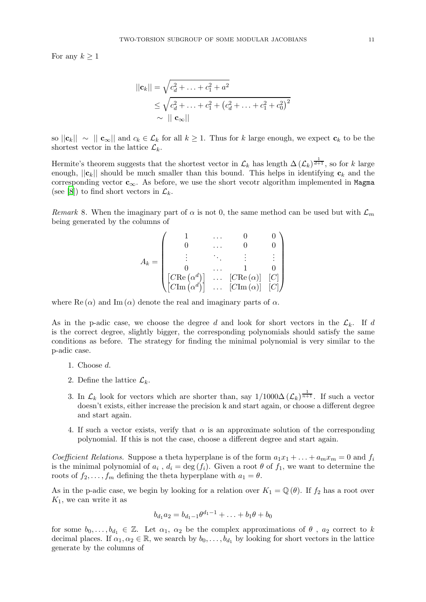For any  $k \geq 1$ 

$$
||\mathbf{c}_k|| = \sqrt{c_d^2 + \dots + c_1^2 + a^2}
$$
  
\n
$$
\leq \sqrt{c_d^2 + \dots + c_1^2 + (c_d^2 + \dots + c_1^2 + c_0^2)^2}
$$
  
\n
$$
\sim ||\mathbf{c}_{\infty}||
$$

so  $||c_k|| \sim ||c_\infty||$  and  $c_k \in \mathcal{L}_k$  for all  $k \geq 1$ . Thus for k large enough, we expect  $c_k$  to be the shortest vector in the lattice  $\mathcal{L}_k$ .

Hermite's theorem suggests that the shortest vector in  $\mathcal{L}_k$  has length  $\Delta(\mathcal{L}_k)^{\frac{1}{d+1}}$ , so for k large enough,  $||c_k||$  should be much smaller than this bound. This helps in identifying  $c_k$  and the corresponding vector  $c_{\infty}$ . As before, we use the short vecotr algorithm implemented in Magma (see [\[8](#page-32-10)]) to find short vectors in  $\mathcal{L}_k$ .

Remark 8. When the imaginary part of  $\alpha$  is not 0, the same method can be used but with  $\mathcal{L}_m$ being generated by the columns of

$$
A_k = \begin{pmatrix} 1 & \cdots & 0 & 0 \\ 0 & \cdots & 0 & 0 \\ \vdots & \ddots & \vdots & \vdots \\ 0 & \cdots & 1 & 0 \\ [C\text{Re}\left(\alpha^d\right)] & \cdots & [C\text{Re}\left(\alpha\right)] & [C] \\ [C\text{Im}\left(\alpha^d\right)] & \cdots & [C\text{Im}\left(\alpha\right)] & [C] \end{pmatrix}
$$

where  $\text{Re}(\alpha)$  and  $\text{Im}(\alpha)$  denote the real and imaginary parts of  $\alpha$ .

As in the p-adic case, we choose the degree d and look for short vectors in the  $\mathcal{L}_k$ . If d is the correct degree, slightly bigger, the corresponding polynomials should satisfy the same conditions as before. The strategy for finding the minimal polynomial is very similar to the p-adic case.

- 1. Choose d.
- 2. Define the lattice  $\mathcal{L}_k$ .
- 3. In  $\mathcal{L}_k$  look for vectors which are shorter than, say  $1/1000\Delta (\mathcal{L}_k)^{\frac{1}{n+1}}$ . If such a vector doesn't exists, either increase the precision k and start again, or choose a different degree and start again.
- 4. If such a vector exists, verify that  $\alpha$  is an approximate solution of the corresponding polynomial. If this is not the case, choose a different degree and start again.

Coefficient Relations. Suppose a theta hyperplane is of the form  $a_1x_1 + ... + a_mx_m = 0$  and  $f_i$ is the minimal polynomial of  $a_i$ ,  $d_i = \deg(f_i)$ . Given a root  $\theta$  of  $f_1$ , we want to determine the roots of  $f_2, \ldots, f_m$  defining the theta hyperplane with  $a_1 = \theta$ .

As in the p-adic case, we begin by looking for a relation over  $K_1 = \mathbb{Q}(\theta)$ . If  $f_2$  has a root over  $K_1$ , we can write it as

$$
b_{d_1}a_2 = b_{d_1-1}\theta^{d_1-1} + \ldots + b_1\theta + b_0
$$

for some  $b_0, \ldots, b_{d_1} \in \mathbb{Z}$ . Let  $\alpha_1, \alpha_2$  be the complex approximations of  $\theta$ ,  $a_2$  correct to k decimal places. If  $\alpha_1, \alpha_2 \in \mathbb{R}$ , we search by  $b_0, \ldots, b_{d_1}$  by looking for short vectors in the lattice generate by the columns of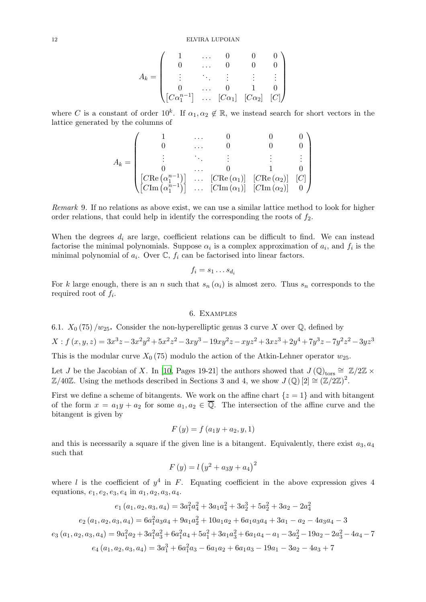$$
A_k = \begin{pmatrix} 1 & \dots & 0 & 0 & 0 \\ 0 & \dots & 0 & 0 & 0 \\ \vdots & \ddots & \vdots & \vdots & \vdots \\ 0 & \dots & 0 & 1 & 0 \\ [C\alpha_1^{n-1}] & \dots & [C\alpha_1] & [C\alpha_2] & [C] \end{pmatrix}
$$

where C is a constant of order  $10^k$ . If  $\alpha_1, \alpha_2 \notin \mathbb{R}$ , we instead search for short vectors in the lattice generated by the columns of

$$
A_k = \begin{pmatrix} 1 & \cdots & 0 & 0 & 0 \\ 0 & \cdots & 0 & 0 & 0 \\ \vdots & \ddots & \vdots & \vdots & \vdots \\ 0 & \cdots & 0 & 1 & 0 \\ \begin{bmatrix} C\text{Re}\left(\alpha_1^{n-1}\right) \\ C\text{Im}\left(\alpha_1^{n-1}\right) \end{bmatrix} & \cdots & \begin{bmatrix} C\text{Re}\left(\alpha_1\right) \end{bmatrix} & \begin{bmatrix} C\text{Re}\left(\alpha_2\right) \end{bmatrix} & \begin{bmatrix} C \\ C \end{bmatrix} \\ \begin{bmatrix} C\text{Im}\left(\alpha_2\right) \end{bmatrix} & 0 \end{pmatrix}
$$

Remark 9. If no relations as above exist, we can use a similar lattice method to look for higher order relations, that could help in identify the corresponding the roots of  $f_2$ .

When the degrees  $d_i$  are large, coefficient relations can be difficult to find. We can instead factorise the minimal polynomials. Suppose  $\alpha_i$  is a complex approximation of  $a_i$ , and  $f_i$  is the minimal polynomial of  $a_i$ . Over  $\mathbb{C}$ ,  $f_i$  can be factorised into linear factors.

$$
f_i = s_1 \dots s_{d_i}
$$

For k large enough, there is an n such that  $s_n(\alpha_i)$  is almost zero. Thus  $s_n$  corresponds to the required root of  $f_i$ .

# 6. Examples

6.1. 
$$
X_0(75)/w_{25}
$$
. Consider the non-hyperelliptic genus 3 curve X over Q, defined by

$$
X: f(x, y, z) = 3x^3z - 3x^2y^2 + 5x^2z^2 - 3xy^3 - 19xy^2z - xyz^2 + 3xz^3 + 2y^4 + 7y^3z - 7y^2z^2 - 3yz^3
$$

This is the modular curve  $X_0$  (75) modulo the action of the Atkin-Lehner operator  $w_{25}$ .

Let J be the Jacobian of X. In [\[10](#page-32-13), Pages 19-21] the authors showed that  $J(Q)_{\text{tors}} \cong \mathbb{Z}/2\mathbb{Z} \times$  $\mathbb{Z}/40\mathbb{Z}$ . Using the methods described in Sections 3 and 4, we show  $J(\mathbb{Q})[2] \cong (\mathbb{Z}/2\mathbb{Z})^2$ .

First we define a scheme of bitangents. We work on the affine chart  $\{z = 1\}$  and with bitangent of the form  $x = a_1y + a_2$  for some  $a_1, a_2 \in \overline{Q}$ . The intersection of the affine curve and the bitangent is given by

$$
F(y) = f(a_1y + a_2, y, 1)
$$

and this is necessarily a square if the given line is a bitangent. Equivalently, there exist  $a_3, a_4$ such that

$$
F(y) = l (y^2 + a_3y + a_4)^2
$$

where l is the coefficient of  $y^4$  in F. Equating coefficient in the above expression gives 4 equations,  $e_1, e_2, e_3, e_4$  in  $a_1, a_2, a_3, a_4$ .

$$
e_1(a_1, a_2, a_3, a_4) = 3a_1^2a_4^2 + 3a_1a_4^2 + 3a_2^3 + 5a_2^2 + 3a_2 - 2a_4^2
$$

$$
e_2\left(a_1,a_2,a_3,a_4\right)=6a_1^2a_3a_4+9a_1a_2^2+10a_1a_2+6a_1a_3a_4+3a_1-a_2-4a_3a_4-3
$$

$$
e_3(a_1, a_2, a_3, a_4) = 9a_1^2a_2 + 3a_1^2a_3^2 + 6a_1^2a_4 + 5a_1^2 + 3a_1a_3^2 + 6a_1a_4 - a_1 - 3a_2^2 - 19a_2 - 2a_3^2 - 4a_4 - 7
$$
  

$$
e_4(a_1, a_2, a_3, a_4) = 3a_1^3 + 6a_1^2a_3 - 6a_1a_2 + 6a_1a_3 - 19a_1 - 3a_2 - 4a_3 + 7
$$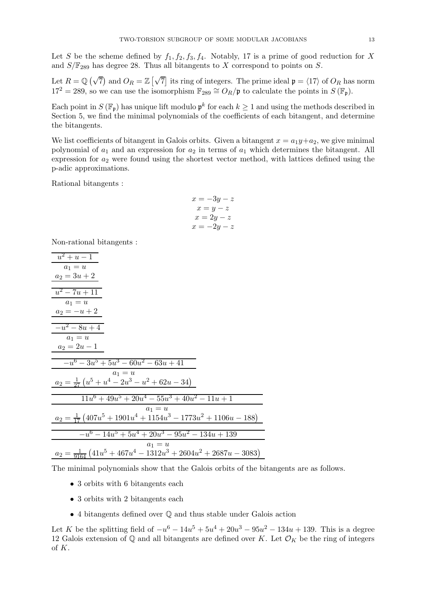Let S be the scheme defined by  $f_1, f_2, f_3, f_4$ . Notably, 17 is a prime of good reduction for X and  $S/\mathbb{F}_{289}$  has degree 28. Thus all bitangents to X correspond to points on S.

Let  $R = \mathbb{Q}(\sqrt{7})$  and  $O_R = \mathbb{Z}[\sqrt{7}]$  its ring of integers. The prime ideal  $\mathfrak{p} = \langle 17 \rangle$  of  $O_R$  has norm  $17^2 = 289$ , so we can use the isomorphism  $\mathbb{F}_{289} \cong O_R/\mathfrak{p}$  to calculate the points in  $S(\mathbb{F}_n)$ .

Each point in  $S(\mathbb{F}_n)$  has unique lift modulo  $\mathfrak{p}^k$  for each  $k \geq 1$  and using the methods described in Section 5, we find the minimal polynomials of the coefficients of each bitangent, and determine the bitangents.

We list coefficients of bitangent in Galois orbits. Given a bitangent  $x = a_1y + a_2$ , we give minimal polynomial of  $a_1$  and an expression for  $a_2$  in terms of  $a_1$  which determines the bitangent. All expression for  $a_2$  were found using the shortest vector method, with lattices defined using the p-adic approximations.

Rational bitangents:

$$
x = -3y - z
$$

$$
x = y - z
$$

$$
x = 2y - z
$$

$$
x = -2y - z
$$

Non-rational bitangents :

| $u^2+u-1$                                                                               |
|-----------------------------------------------------------------------------------------|
| $a_1 = u$                                                                               |
| $a_2 = 3u + 2$                                                                          |
|                                                                                         |
| $u^2 - 7u + 11$                                                                         |
| $a_1 = u$                                                                               |
| $a_2 = -u + 2$                                                                          |
|                                                                                         |
| $-u^2-8u+4$                                                                             |
| $a_1 = u$                                                                               |
| $a_2 = 2u - 1$                                                                          |
|                                                                                         |
| $-u^6-3u^5+5u^3-60u^2-63u+41$                                                           |
| $a_1 = u$                                                                               |
| $a_2 = \frac{1}{27} (u^5 + u^4 - 2u^3 - u^2 + 62u - 34)$                                |
|                                                                                         |
| $11u^6 + 49u^5 + 20u^4 - 55u^3 + 40u^2 - 11u + 1$                                       |
| $a_1 = u$                                                                               |
| $a_2 = \frac{1}{17} \left( 407u^5 + 1901u^4 + 1154u^3 - 1773u^2 + 1106u - 188 \right)$  |
|                                                                                         |
| $-u^6 - 14u^5 + 5u^4 + 20u^3 - 95u^2 - 134u + 139$                                      |
| $a_1 = u$                                                                               |
| $a_2 = \frac{1}{9164} \left( 41u^5 + 467u^4 - 1312u^3 + 2604u^2 + 2687u - 3083 \right)$ |
|                                                                                         |

The minimal polynomials show that the Galois orbits of the bitangents are as follows.

- $\bullet$  3 orbits with 6 bitangents each
- $\bullet$  3 orbits with 2 bitangents each
- $\bullet$  4 bitangents defined over  $\mathbb Q$  and thus stable under Galois action

Let K be the splitting field of  $-u^6 - 14u^5 + 5u^4 + 20u^3 - 95u^2 - 134u + 139$ . This is a degree 12 Galois extension of  $\mathbb Q$  and all bitangents are defined over K. Let  $\mathcal O_K$  be the ring of integers of  $K$ .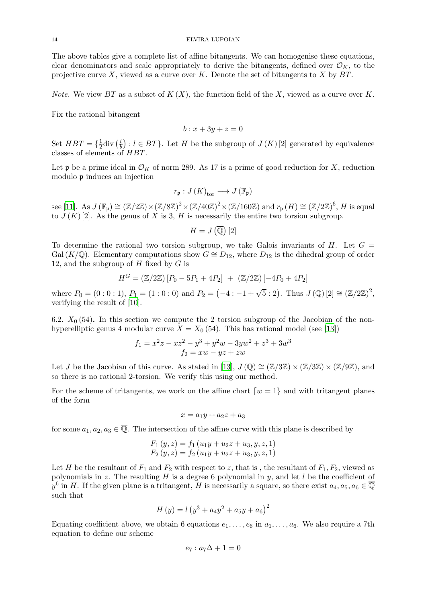The above tables give a complete list of affine bitangents. We can homogenise these equations, clear denominators and scale appropriately to derive the bitangents, defined over  $\mathcal{O}_K$ , to the projective curve X, viewed as a curve over K. Denote the set of bitangents to X by  $BT$ .

*Note.* We view BT as a subset of  $K(X)$ , the function field of the X, viewed as a curve over K.

Fix the rational bitangent

$$
b: x + 3y + z = 0
$$

Set  $HBT = \{\frac{1}{2}$  $\frac{1}{2}$ div  $\left(\frac{l}{b}\right)$  $\frac{1}{b}$  :  $l \in BT$ }. Let H be the subgroup of  $J(K)[2]$  generated by equivalence classes of elements of HBT.

Let  $\mathfrak p$  be a prime ideal in  $\mathcal O_K$  of norm 289. As 17 is a prime of good reduction for X, reduction modulo p induces an injection

$$
r_{\mathfrak{p}}:J(K)_{\text{tor}}\longrightarrow J(\mathbb{F}_{\mathfrak{p}})
$$

see [\[11\]](#page-32-14). As  $J(\mathbb{F}_{p}) \cong (\mathbb{Z}/2\mathbb{Z}) \times (\mathbb{Z}/8\mathbb{Z})^{2} \times (\mathbb{Z}/40\mathbb{Z})^{2} \times (\mathbb{Z}/160\mathbb{Z})$  and  $r_{\mathfrak{p}}(H) \cong (\mathbb{Z}/2\mathbb{Z})^{6}$ , H is equal to  $J(K)$  [2]. As the genus of X is 3, H is necessarily the entire two torsion subgroup.

$$
H=J\left(\overline{\mathbb{Q}}\right)[2]
$$

To determine the rational two torsion subgroup, we take Galois invariants of  $H$ . Let  $G =$ Gal (K/Q). Elementary computations show  $G \cong D_{12}$ , where  $D_{12}$  is the dihedral group of order 12, and the subgroup of  $H$  fixed by  $G$  is

$$
H^{G} = (\mathbb{Z}/2\mathbb{Z}) [P_0 - 5P_1 + 4P_2] + (\mathbb{Z}/2\mathbb{Z}) [-4P_0 + 4P_2]
$$

where  $P_0 = (0:0:1), P_1 = (1:0:0)$  and  $P_2 = (-4:-1+\sqrt{5}:2)$ . Thus  $J(\mathbb{Q})[2] \cong (\mathbb{Z}/2\mathbb{Z})^2$ , verifying the result of [\[10](#page-32-13)].

6.2.  $X_0$  (54). In this section we compute the 2 torsion subgroup of the Jacobian of the nonhyperelliptic genus 4 modular curve  $X = X_0$  (54). This has rational model (see [\[13\]](#page-32-1))

$$
f_1 = x^2z - xz^2 - y^3 + y^2w - 3yw^2 + z^3 + 3w^3
$$
  

$$
f_2 = xw - yz + zw
$$

Let J be the Jacobian of this curve. As stated in [\[13](#page-32-1)],  $J(\mathbb{Q}) \cong (\mathbb{Z}/3\mathbb{Z}) \times (\mathbb{Z}/3\mathbb{Z}) \times (\mathbb{Z}/9\mathbb{Z})$ , and so there is no rational 2-torsion. We verify this using our method.

For the scheme of tritangents, we work on the affine chart  $\lceil w - 1 \rceil$  and with tritangent planes of the form

$$
x = a_1y + a_2z + a_3
$$

for some  $a_1, a_2, a_3 \in \overline{\mathbb{Q}}$ . The intersection of the affine curve with this plane is described by

$$
F_1(y, z) = f_1(u_1y + u_2z + u_3, y, z, 1)
$$
  
\n
$$
F_2(y, z) = f_2(u_1y + u_2z + u_3, y, z, 1)
$$

Let H be the resultant of  $F_1$  and  $F_2$  with respect to z, that is, the resultant of  $F_1, F_2$ , viewed as polynomials in z. The resulting  $H$  is a degree 6 polynomial in  $y$ , and let  $l$  be the coefficient of  $y^6$  in H. If the given plane is a tritangent, H is necessarily a square, so there exist  $a_4, a_5, a_6 \in \overline{\mathbb{Q}}$ such that

$$
H(y) = l (y^3 + a_4 y^2 + a_5 y + a_6)^2
$$

Equating coefficient above, we obtain 6 equations  $e_1, \ldots, e_6$  in  $a_1, \ldots, a_6$ . We also require a 7th equation to define our scheme

$$
e_7: a_7\Delta + 1 = 0
$$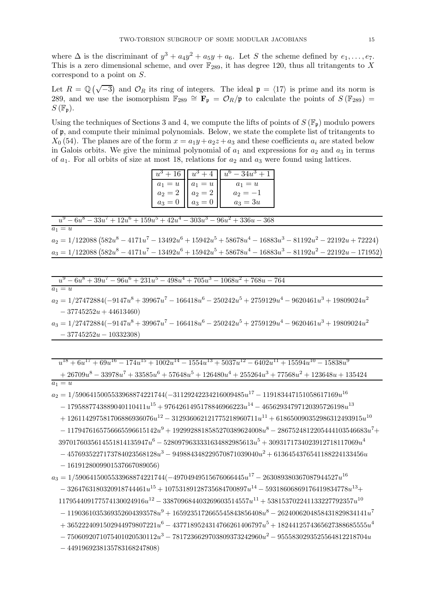where  $\Delta$  is the discriminant of  $y^3 + a_4y^2 + a_5y + a_6$ . Let S the scheme defined by  $e_1, \ldots, e_7$ . This is a zero dimensional scheme, and over  $\mathbb{F}_{289}$ , it has degree 120, thus all tritangents to X correspond to a point on  $S$ .

Let  $R = \mathbb{Q}(\sqrt{-3})$  and  $\mathcal{O}_R$  its ring of integers. The ideal  $\mathfrak{p} = \langle 17 \rangle$  is prime and its norm is 289, and we use the isomorphism  $\mathbb{F}_{289} \cong \mathbf{F}_{p} = \mathcal{O}_{R}/p$  to calculate the points of  $S(\mathbb{F}_{289}) =$  $S(\mathbb{F}_{n}).$ 

Using the techniques of Sections 3 and 4, we compute the lifts of points of  $S(\mathbb{F}_n)$  modulo powers of p, and compute their minimal polynomials. Below, we state the complete list of tritangents to  $X_0$  (54). The planes are of the form  $x = a_1y + a_2z + a_3$  and these coefficients  $a_i$  are stated below in Galois orbits. We give the minimal polynomial of  $a_1$  and expressions for  $a_2$  and  $a_3$  in terms of  $a_1$ . For all orbits of size at most 18, relations for  $a_2$  and  $a_3$  were found using lattices.

| $+16$     | $u^3$ +   | $u^{\mathrm{o}} -$      |
|-----------|-----------|-------------------------|
| $a_1 = u$ | $a_1 = u$ | $a_1 = u$               |
| $a_2 = 2$ | $a_2 = 2$ | a <sub>2</sub>          |
| $a_3 = 0$ | $a_3 =$   | $=3u$<br>a <sub>2</sub> |

| $u^9 - 6u^8 - 33u^7 + 12u^6 + 159u^5 + 42u^4 - 303u^3 - 96u^2 + 336u - 368$                                |
|------------------------------------------------------------------------------------------------------------|
| $a_1=u$                                                                                                    |
| $a_2 = 1/122088(582u^8 - 4171u^7 - 13492u^6 + 15942u^5 + 58678u^4 - 16883u^3 - 81192u^2 - 22192u + 72224)$ |

 $a_3 = 1/122088(582u^8 - 4171u^7 - 13492u^6 + 15942u^5 + 58678u^4 - 16883u^3 - 81192u^2 - 22192u - 171952)$ 

$$
u^9 - 6u^8 + 39u^7 - 96u^6 + 231u^5 - 498u^4 + 705u^3 - 1068u^2 + 768u - 764
$$
  
\n
$$
a_1 = u
$$
  
\n
$$
a_2 = 1/27472884(-9147u^8 + 39967u^7 - 166418u^6 - 250242u^5 + 2759129u^4 - 9620461u^3 + 19809024u^2
$$
  
\n
$$
- 37745252u + 44613460)
$$
  
\n
$$
a_3 = 1/27472884(-9147u^8 + 39967u^7 - 166418u^6 - 250242u^5 + 2759129u^4 - 9620461u^3 + 19809024u^2
$$
  
\n
$$
- 37745252u - 10332308)
$$

 $u^{18} + 6u^{17} + 69u^{16} - 174u^{15} + 1002u^{14} - 1554u^{13} + 5037u^{12} - 6402u^{11} + 15594u^{10} - 15838u^{9}$  $~~+26709u^8-33978u^7+33585u^6+57648u^5+126480u^4+255264u^3+77568u^2+123648u+135424$ 

$$
a_1 =
$$

 $a_2 = 1/5906415005533968874221744(-31129242234216009485u^{17} -119183447151058617169u^{16}$  $- \ 1795887743889040110411u^{15} + 9764261495178846966223u^{14} - 46562934797120395726198u^{13}$ 

 $+ \ 126114297581706886936076u^{12} - 312936062121775218960711u^{11} + 618650090352986312493915u^{10}$ 

 $-1179476165756665596615142u^9 + 1929928818585270389624008u^8 - 2867524812205444103546683u^7 +$ 

 $3970176035614551814135947u^6 - 5280979633331634882985613u^5 + 3093171734023912718117069u^4$ 

 $- 4576935227173784023568128u^3 - 949884348229570871039040u^2 + 6136454376541188224133456u$ 

 $-1619128009901537667089056$ 

 $a_3 = 1/5906415005533968874221744(-49704949515676066445u^{17} - \\ 263089380367087944527u^{16}$ 

 $-3264763180320918744461u^{15} + 10753189128735684700897u^{14} - 59318606869176419834778u^{13} +$ 

 $117954409177574130024916u^{12} - 338709684403269603514557u^{11} + 538153702241133227792357u^{10}$ 

 $-1190361035369352604393578u^9 + 1659235172665545843856408u^8 - 2624006204858431829834141u^7$ 

 $+3652224091502944979807221u^6-4377189524314766261406797u^5+1824412574365627388685555u^4$ 

 $-7506092071075401020530112u^3 - 7817236629703809373242960u^2 - 9555830293525564812218704u$ 

 $-4491969238135783168247808$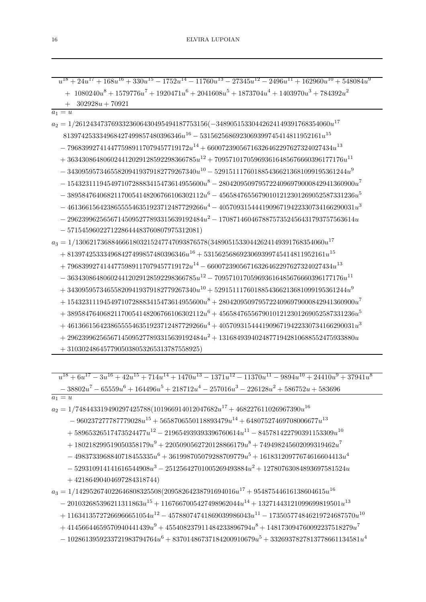| $u^{18} + 24u^{17} + 168u^{16} + 330u^{15} - 1752u^{14} - 11760u^{13} - 27345u^{12} - 2496u^{11} + 162960u^{10} + 548084u^{9}$ |
|--------------------------------------------------------------------------------------------------------------------------------|
| $+\enspace 1080240u^8 + 1579776u^7 + 1920471u^6 + 2041608u^5 + 1873704u^4 + 1403970u^3 + 784392u^2$                            |
| $302928u + 70921$                                                                                                              |
| $a_1 = u$                                                                                                                      |
| $a_2 = 1/2612434737693323606430495494187753156(-34890515330442624149391768354060u^{17}$                                        |
| $813974253334968427499857480396346u^{16} - 5315625686923069399745414811952161u^{15}$                                           |
| $- \, 7968399274144775989117079457719172u^{14} + 66007239056716326462297627324027434u^{13}$                                    |
| $+ \ 363430864806024412029128592298366785u^{12} + 709571017059693616485676660396177176u^{11}$                                  |
| $-\, 343095957346558209419379182779267340u^{10} - 5291511176018854366213681099195361244u^9$                                    |
| $- \ 15432311194549710728883415473614955600u^8 - 28042095097957224096979000842941360900u^7$                                    |
| $-\ 38958476406821170054148206766106302112u^6 - 45658476556790101212301269052587331236u^5$                                     |
| $- \  \, 46136615642386555546351923712487729266u^4 - 40570931544419096719422330734166290031u^3$                                |
| $-\, 29623996256567145095277893315639192484u^2 -17087146046788757352456431793757563614u$                                       |
| $-5715459602271228644483760807975312081)$                                                                                      |
| $a_3 = 1/1306217368846661803215247747093876578(34890515330442624149391768354060u^{17}$                                         |
| $+ \; 813974253334968427499857480396346u^{16} + 5315625686923069399745414811952161u^{15}$                                      |
| $+\,7968399274144775989117079457719172u^{14} - 66007239056716326462297627324027434u^{13}$                                      |
| $- \ 363430864806024412029128592298366785u^{12} - 709571017059693616485676660396177176u^{11}$                                  |
| $+\ 343095957346558209419379182779267340u^{10}+5291511176018854366213681099195361244u^9$                                       |
| $+\ 15432311194549710728883415473614955600u^8 + 28042095097957224096979000842941360900u^7$                                     |
| $+\ 38958476406821170054148206766106302112u^6 + 45658476556790101212301269052587331236u^5$                                     |
| $+ \, 46136615642386555546351923712487729266u^4 + 40570931544419096719422330734166290031u^3$                                   |
| $+29623996256567145095277893315639192484u^2+13168493940248771942810688552475933880u$                                           |
| $\pm$ 3103024864577905038053265313787558925)                                                                                   |

 $u^{18} + 6u^{17} - 3u^{16} + 42u^{15} + 714u^{14} + 1470u^{13} - 1371u^{12} - 11370u^{11} - 9894u^{10} + 24410u^9 + 37941u^8$  $-38802u^7 - 65559u^6 + 164496u^5 + 218712u^4 - 257016u^3 - 226128u^2 + 586752u + 583696$ 

 $a_1 = u$ 

 $a_2 = 1/748443319490297425788(101966914012047682u^{17} + 468227611026967390u^{16}$ 

 $-\ 960237277787779028u^{15} + 5658706550118893479u^{14} + 64807527469708006677u^{13}$ 

 $+ \ 58965326517473524477u^{12} - 219654939393396760614u^{11} - 845781422790391153309u^{10}$ 

 $+ 180218299519050358179u^9 + 2205090562720128866179u^8 + 749498245602099319462u^7$ 

 $- \ 4983733968840718455335u^6 + 361998705079288709779u^5 + 16183120977674616604413u^4$ 

 $- \; 529310914141616544908u^3 - 25125642701005269493884u^2 + 12780763084893697581524u$ 

 $+42186490404697284318744)$ 

 $a_3 = 1/142952674022646808325508(20958264238791694016u^{17} + 95487544616138604615u^{16} \\$ 

 $~~-201032685396211311863u^{15}+1167667005427498962044u^{14}+13271443121099699819501u^{13}~~$ 

 $+ \ 11634135727266966651054u^{12} - 45788074741869039986043u^{11} - 173505774846219724687570u^{10}$ 

 $+ \ 41456644659570940441439u^9 + 455408237911484233896794u^8 + 148173094760092237518279u^7$ 

 $- \ 1028613959233721983794764u^6 + 83701486737184200910679u^5 + 3326937827813778661134581u^4$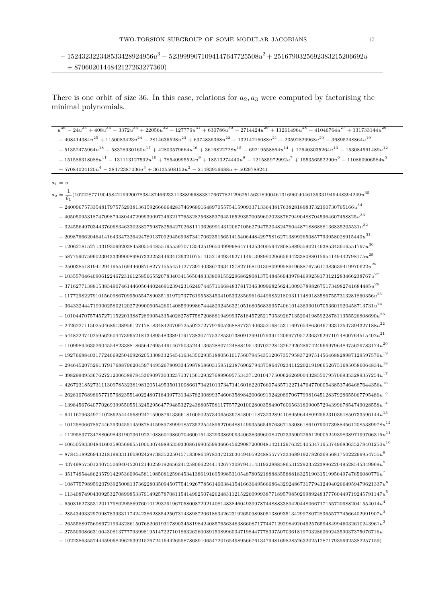There is one orbit of size 36. In this case, relations for  $a_2, a_3$  were computed by factorising the minimal polynomials.

 $u^{36} - 24 u^{35} + 408 u^{34} - 3372 u^{33} + 22056 u^{32} - 127776 u^{31} + 630786 u^{30} - 2714424 u^{29} + 11261496 u^{28} - 41046764 u^{27} + 131733144 u^{28}$  $~~-408414384u^{25}+1150083423u^{24} -2814636528u^{23}+6374836368u^{22} -13214216088u^{21}+23592829968u^{20} -36895248864u^{19}$  $+ 51352475964u^{18} - 58328930160u^{17} + 42803579664u^{16} + 3616822728u^{15} - 69219558864u^{14} + 126403035264u^{13} - 153084561489u^{12}$  $+ \; 151586318088u^{11} - 131113127592u^{10} + 78540995524u^9 + 18513274440u^8 - 121585972992u^7 + 155356552290u^6 - 110860906584u^5$  $+ 57084024120u^4 - 38472387036u^3 + 36135508152u^2 - 21483956688u + 5029788241$  $a_1 = u$  $a_2=\frac{1}{\theta_1}(10222877190458421992007838487466233113889668838176677821296251563189004613169604046136331949448394249u^{35}$  $-\; 24009675733548179757529381361592666642837469689164897055754159093371336438176382818983732190730765166u^{34}$  $+\ 4050509531874709879480447299939097246321776532825688537645165293570059602023876794904887045964607458825u^{33}$  $+\ 209876662046414164334732642478913709294569987341706235156514154064484297581627138992650857793958028915440u^{31}$  $-\ 1206278152713319309920384580556485519555970713542519650499998647142534005947808588955902149385343616551797u^{30}$  $+\; 5877590759602304333990089967332253446341263210751415219493462711491398960206656442338088015654149442798175u^{29}$  $-\; 25003851819412941955169446087082771555451127739740386739341378271681013080999589196887675617383639419970622u^{28}$  $+\,103557046409061224672316125856655207834034156504833380915522968628081375484569439784699258173121283466238767u^{27}$  $-\ 371627713881538349074614460564402469123942316249744571166848378173463099682562410093789826751734982741684485u^{26}$  $+ \ 1177298227910156098670995055478903516197273776195583450410533235696164496852180931114891835867557313281860356u^{25}$  $- \, 3643324447199002580212027299006054260140859999867444829245632105168056836957406101438990107053601920458713731u^{24}$  $+\,101044707574572711522013887289905433540282787758720888194999378184572521705392671352041985922878113555526808690u^{23}$  $~~-24262271150250468613895612717818348420709725502272779760526888773740635216845311697654863646793312547394327188u^2\\$  $+$  54482247402595626044739652181348954833891791738307475378530738091299107939142069779572363762971074800764515402 $n^{21}$  $-$  110998946352604554823388186564769544914675035244136528807424888495139702728432679262867424966979648475629783174 $u^{20}$  $+\ 192766884031772466925040926205330833254541634350293518805610175607945435120673579583729751456468828987129597576u^{19}$  $-$  294645207529137917688796204597449526780933459878586031595121876962794375864702341122021919665267516850586064834 $u^{18}$  $+\ 398299495367627212006589784536909730332371371561293276899695753437120104775006262690043285507957069353289357254u^{17}$  $~~- \ 426723185273111309785323819812051495350110086617342101373471416018220766074357122714764770005438537464687644356u^{16}$  $+\ 262810768986577157682355140224807184397731343782308993746063589842006091924208970677998164512837928655067795486u^{15}$  $+\ 139845676407702693995505513245295647794853272438805758117757720100280035849076065631809005729439967854749028558u^{14}$  $-\ 641167963497110286254445689247159087913366181605025734065639784800118732328941089596448092562310361850733596144u^{13}$  $+ \ 1012580667857446293945514598784159897899918573522544896270648814993556546763671530861861079007398845612085389978u^{12}$  $- \; 1129583773478806984319073619231088601986070460015143293386909340638369600847023359022651290052493983897199706315n^{11}$  $+$  1065059330484160358056965510003074989535933086199055993666456290872000481421129763254053471653749683635278401250 $u^{\bar{1}0}$  $-\ 878451892694321819933116080242973835225045718308648783372120304940592488557773336891927826369568175022299954755u^9$  $+ \, 437498575012407550694045201214025919265624125806622441426773087941143192288858653122923522389622049528545349969u^8$  $+\ 351748544862357914295360964581198508125964534138619169599853105487805218888355888183251903151995649747656080776u^7\\$  $=1087757989592079392500813736228035094507754192677856146038415416636495666864329248673177941249402664959478621337 $\eta^6$$  $+\ 1134087490430925327089985337914925787081154149925074262483112152260999387718957985029989248377760449719245791147u^5$  $-$  650316273531201179802958697601012932919670580087292140814838460493997874488833894204480667171557209882041554014 $u^4$  $+\ 285434933297098783933117424238628854250731438987206186342623192650989805138093513429978072836557774566402991907u^3$  $-102238635574445906849625392152672416442655878689106547201654989566761347948169828526320251287179359925382257159$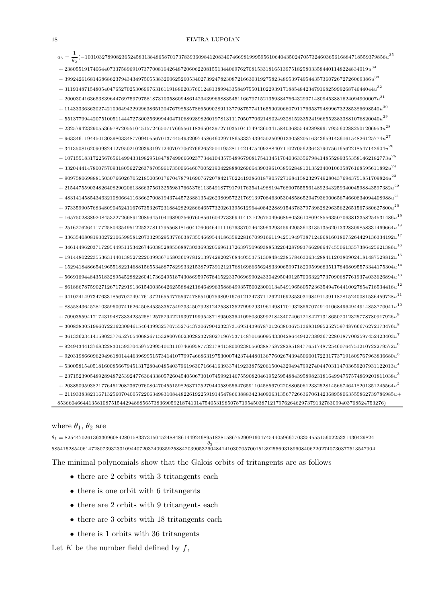### 18 ELVIRA LUPOIAN

| $a_3=\frac{1}{\theta_2}(-1031032789082365245831384865870173783936098412083407466981999595610640435024705732460365616884718559379856u^{35}$ |  |
|--------------------------------------------------------------------------------------------------------------------------------------------|--|
| $-23805519174064407337589691073770081642648720606220815513440697627081533181651397518258033584401148224834019u^{34}$                       |  |
| $399242616814686862379434349750553832006252605340273924782308721663031927582348953974954435736072672726069386u^{\textnormal{33}}\\$        |  |
| $3119148715480540476527025306997631611918802037601248138994335849755011022939171885484234791682599926874644044u^{32}$                      |  |
| $20003041636538396447697597975818731035860948614234399668835451166797152135938476643299714809453881624094900007u^{31}$                     |  |
| $114333363630274210964942292963865120476798535786650902891137798757741165590206607911766537948996732285386698540u^{30}$                    |  |
| $551377994420751005114447273003569994404710689289826019781311170507706214802493281523352419665523833881076820040u^{29}$                    |  |
| $2325794232905536978720551045157246507176655611836504397271035104174943603415840368554928989617955602882501206953u^{28}$                   |  |
| $9633461194450130398033487709405567013744549320974586460297186533374394502509013305820516343659143616154826125774u^{27} \\$                |  |
| $+ \, 34135081620909824127950210203931971240707706276626525011952811421475409288407110270562364379075616562218547142604u^{26}$             |  |
| $107155183172256765614994331982951847874996660237734410435754896790817541345170403633567984148552893553581462182773u^{25} \\$              |  |
|                                                                                                                                            |  |
| $909758069888150307660267052185005017670478791690767207842170224193860187905727168415823297492804376943751851709824u^{23}$                 |  |
| $2154475590348264082902061386637561325598176653761135491877917917635414988194768907555561489234325934004598843597382u^{22}$                |  |
|                                                                                                                                            |  |
| 9733599057683480904524116767353267231884282928664657732026139561296440842288915437837973982829635622651567380627800 $u^{20}$               |  |
| 16575028389208453227266891208994510419890256076085616042733694141210267504966898053610809485563507063813358254531486 $u^{19}$              |  |
| $25162762641177258043549512253278117955681816041760646411116763370746439632934594205361313513562013328309858331469664u^{18}$               |  |
| $33635408081930272106598581207332952953776038735546695441863592281670991661194251949738712496816018075264429136334192u^{17}$               |  |
| $+ \ 34614496203717295449511534267460385288556887303369320569611726397509693885322042879937662966474550613357386425621386u^{16}$           |  |
| $19144802223553631440138527222039936715803609781213974292027684405537513084842385784630634288411203809024181487529812u^{15}$               |  |
| $15294184866541965518221468815655348877829933215387973912121768169866562483390659971820959968351178468095573344175304u^{14} \\$            |  |
| 56691694484351832895452882260417362495187430869597678415223370696990243304295049125700632277370906877619374033626894 $u^{13}$              |  |
| $86188678759027126717291913615400356426255884211846499635888499357500230011345491965805723635494764410027854718534416u12$                  |  |
| $94102414973476331856702749476137216554775597478651007598091676121247371126221692353031984911391182815240081536459728u^{11}$               |  |
| $88558436452810359600741626450845353357549233450792812425381352799929319614981701932856707491010684964944914853770041u^{\t10}$             |  |
| $70903559417174319487333423525812575294221939719995487189503364109803039921843407406121842713186502012325778780917926u$                    |  |
| $30083830519960722162309461546439932570755276437306790423237316951439678701263803675136831995252759748766676272173476u^8$                  |  |
| $36133623414159023776527054068267153280076023028232780271967537148701660954330428644942738936722801877002597452423403u^7$                  |  |
| $-92494344137683228301593704597529954013110746695877321784158000238056038875872828518477651748725460764751210722279572u^6$                 |  |
| $92031986609629496180144463969951573414107799746686319753000742374448013677602674394506001722317737191809767963836680u^5$                  |  |
| $53005815405181600856679451317280404854037961963071664163933741923387520615004329494799274044703114703659207931122013u^4\\$                |  |
| $23715239054892894872539247763643380572604540506730107459921467559082046195259548843958982318164994757574869201811038u^3\\$                |  |
| $20385095938217764512082367976080470455159826371752794405895564765911045856792208805061233252814566746418201351245564u^2$                  |  |
|                                                                                                                                            |  |
| 8536604664413581087515442948885657383690592187410147540531985078719545038712179762646297379132783099403768524753276)                       |  |

# where  $\theta_1$ ,  $\theta_2$  are

 $\theta_1 = 8254470261363309608428015833731504524884861449246895182815867529091604745440596677033545551560225331430429824$ θ<sup>2</sup> = 585415285406147280739323310944072032409359258842039053260484141030705700151392556931896084062202740730377513547904 The minimal polynomials show that the Galois orbits of tritangents are as follows

- there are 2 orbits with 3 tritangents each
- there is one orbit with 6 tritangents
- there are 2 orbits with 9 tritangents each
- there are 3 orbits with 18 tritangents each
- there is 1 orbits with 36 tritangents

Let  $K$  be the number field defined by  $f$ ,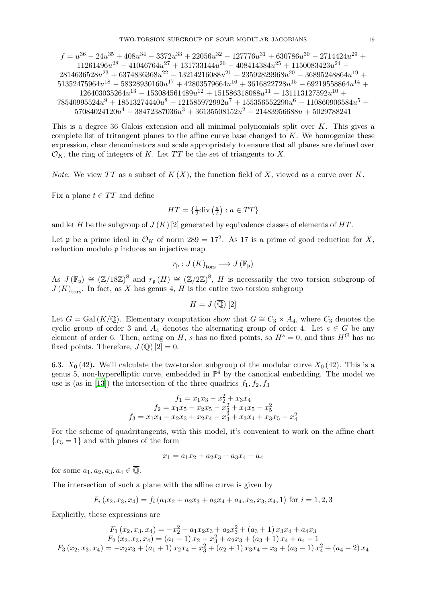$$
f = u^{36} - 24u^{35} + 408u^{34} - 3372u^{33} + 22056u^{32} - 127776u^{31} + 630786u^{30} - 2714424u^{29} + 11261496u^{28} - 41046764u^{27} + 131733144u^{26} - 408414384u^{25} + 1150083423u^{24} - 2814636528u^{23} + 6374836368u^{22} - 13214216088u^{21} + 23592829968u^{20} - 36895248864u^{19} + 51352475964u^{18} - 58328930160u^{17} + 42803579664u^{16} + 3616822728u^{15} - 69219558864u^{14} + 126403035264u^{13} - 153084561489u^{12} + 151586318088u^{11} - 131113127592u^{10} + 78540995524u^9 + 18513274440u^8 - 121585972992u^7 + 155356552290u^6 - 110860906584u^5 + 57084024120u^4 - 38472387036u^3 + 36135508152u^2 - 21483956688u + 5029788241
$$

This is a degree 36 Galois extension and all minimal polynomials split over K. This gives a complete list of tritangent planes to the affine curve base changed to  $K$ . We homogenize these expression, clear denominators and scale appropriately to ensure that all planes are defined over  $\mathcal{O}_K$ , the ring of integers of K. Let TT be the set of triangents to X.

*Note.* We view TT as a subset of  $K(X)$ , the function field of X, viewed as a curve over K.

Fix a plane  $t \in TT$  and define

$$
HT = \left\{ \frac{1}{2} \text{div} \left( \frac{a}{t} \right) : a \in TT \right\}
$$

and let H be the subgroup of  $J(K)$  [2] generated by equivalence classes of elements of HT.

Let **p** be a prime ideal in  $\mathcal{O}_K$  of norm 289 = 17<sup>2</sup>. As 17 is a prime of good reduction for X, reduction modulo p induces an injective map

$$
r_{\mathfrak{p}}:J(K)_{\text{tors}}\longrightarrow J(\mathbb{F}_{\mathfrak{p}})
$$

As  $J(\mathbb{F}_{p}) \cong (\mathbb{Z}/18\mathbb{Z})^{8}$  and  $r_{p}(H) \cong (\mathbb{Z}/2\mathbb{Z})^{8}$ , H is necessarily the two torsion subgroup of  $J(K)_{\text{tors}}$ . In fact, as X has genus 4, H is the entire two torsion subgroup

$$
H=J\left(\overline{\mathbb{Q}}\right)[2]
$$

Let  $G = \text{Gal}(K/\mathbb{Q})$ . Elementary computation show that  $G \cong C_3 \times A_4$ , where  $C_3$  denotes the cyclic group of order 3 and  $A_4$  denotes the alternating group of order 4. Let  $s \in G$  be any element of order 6. Then, acting on H, s has no fixed points, so  $H^s = 0$ , and thus  $H^G$  has no fixed points. Therefore,  $J(\mathbb{Q})[2]=0$ .

6.3.  $X_0$  (42). We'll calculate the two-torsion subgroup of the modular curve  $X_0$  (42). This is a genus 5, non-hyperelliptic curve, embedded in  $\mathbb{P}^4$  by the canonical embedding. The model we use is (as in [\[13](#page-32-1)]) the intersection of the three quadrics  $f_1, f_2, f_3$ 

$$
f_1 = x_1x_3 - x_2^2 + x_3x_4
$$
  
\n
$$
f_2 = x_1x_5 - x_2x_5 - x_3^2 + x_4x_5 - x_5^2
$$
  
\n
$$
f_3 = x_1x_4 - x_2x_3 + x_2x_4 - x_3^2 + x_3x_4 + x_3x_5 - x_4^2
$$

For the scheme of quadritangents, with this model, it's convenient to work on the affine chart  ${x_5 = 1}$  and with planes of the form

 $x_1 = a_1x_2 + a_2x_3 + a_3x_4 + a_4$ 

for some  $a_1, a_2, a_3, a_4 \in \overline{\mathbb{Q}}$ .

The intersection of such a plane with the affine curve is given by

$$
F_i(x_2, x_3, x_4) = f_i(a_1x_2 + a_2x_3 + a_3x_4 + a_4, x_2, x_3, x_4, 1)
$$
 for  $i = 1, 2, 3$ 

Explicitly, these expressions are

$$
F_1(x_2, x_3, x_4) = -x_2^2 + a_1x_2x_3 + a_2x_3^2 + (a_3 + 1)x_3x_4 + a_4x_3
$$
  
\n
$$
F_2(x_2, x_3, x_4) = (a_1 - 1)x_2 - x_3^2 + a_2x_3 + (a_3 + 1)x_4 + a_4 - 1
$$
  
\n
$$
F_3(x_2, x_3, x_4) = -x_2x_3 + (a_1 + 1)x_2x_4 - x_3^2 + (a_2 + 1)x_3x_4 + x_3 + (a_3 - 1)x_4^2 + (a_4 - 2)x_4
$$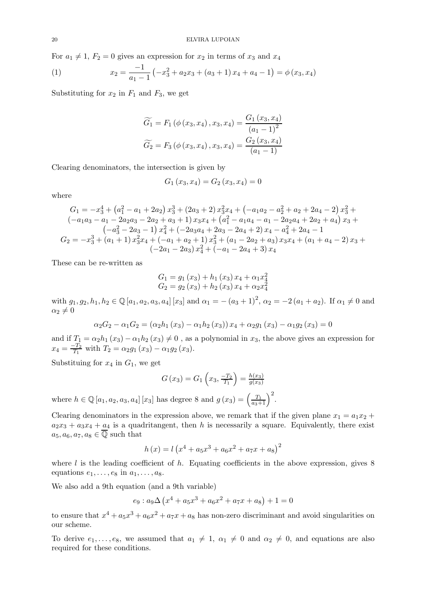For  $a_1 \neq 1$ ,  $F_2 = 0$  gives an expression for  $x_2$  in terms of  $x_3$  and  $x_4$ 

(1) 
$$
x_2 = \frac{-1}{a_1 - 1} \left( -x_3^2 + a_2 x_3 + (a_3 + 1) x_4 + a_4 - 1 \right) = \phi(x_3, x_4)
$$

Substituting for  $x_2$  in  $F_1$  and  $F_3$ , we get

$$
\widetilde{G}_1 = F_1(\phi(x_3, x_4), x_3, x_4) = \frac{G_1(x_3, x_4)}{(a_1 - 1)^2}
$$

$$
\widetilde{G}_2 = F_3(\phi(x_3, x_4), x_3, x_4) = \frac{G_2(x_3, x_4)}{(a_1 - 1)}
$$

Clearing denominators, the intersection is given by

$$
G_1(x_3, x_4) = G_2(x_3, x_4) = 0
$$

where

$$
G_1 = -x_3^4 + (a_1^2 - a_1 + 2a_2)x_3^3 + (2a_3 + 2)x_3^2x_4 + (-a_1a_2 - a_2^2 + a_2 + 2a_4 - 2)x_3^2 + (-a_1a_3 - a_1 - 2a_2a_3 - 2a_2 + a_3 + 1)x_3x_4 + (a_1^2 - a_1a_4 - a_1 - 2a_2a_4 + 2a_2 + a_4)x_3 + (-a_3^2 - 2a_3 - 1)x_4^2 + (-2a_3a_4 + 2a_3 - 2a_4 + 2)x_4 - a_4^2 + 2a_4 - 1
$$
  
\n
$$
G_2 = -x_3^3 + (a_1 + 1)x_3^2x_4 + (-a_1 + a_2 + 1)x_3^2 + (a_1 - 2a_2 + a_3)x_3x_4 + (a_1 + a_4 - 2)x_3 + (-2a_1 - 2a_3)x_4^2 + (-a_1 - 2a_4 + 3)x_4
$$

These can be re-written as

$$
G_1 = g_1(x_3) + h_1(x_3) x_4 + \alpha_1 x_4^2
$$
  
\n
$$
G_2 = g_2(x_3) + h_2(x_3) x_4 + \alpha_2 x_4^2
$$

with  $g_1, g_2, h_1, h_2 \in \mathbb{Q}[a_1, a_2, a_3, a_4]$  [x<sub>3</sub>] and  $\alpha_1 = -(a_3 + 1)^2$ ,  $\alpha_2 = -2(a_1 + a_2)$ . If  $\alpha_1 \neq 0$  and  $\alpha_2 \neq 0$ 

$$
\alpha_2 G_2 - \alpha_1 G_2 = (\alpha_2 h_1(x_3) - \alpha_1 h_2(x_3)) x_4 + \alpha_2 g_1(x_3) - \alpha_1 g_2(x_3) = 0
$$

and if  $T_1 = \alpha_2 h_1(x_3) - \alpha_1 h_2(x_3) \neq 0$ , as a polynomial in  $x_3$ , the above gives an expression for  $x_4 = \frac{-T_2}{T_1}$  $\frac{-T_2}{T_1}$  with  $T_2 = \alpha_2 g_1(x_3) - \alpha_1 g_2(x_3)$ .

Substituing for  $x_4$  in  $G_1$ , we get

$$
G(x_3) = G_1\left(x_3, \frac{-T_2}{T_1}\right) = \frac{h(x_3)}{g(x_3)}
$$

where  $h \in \mathbb{Q}[a_1, a_2, a_3, a_4]$  [x<sub>3</sub>] has degree 8 and  $g(x_3) = \left(\frac{T_1}{a_3+1}\right)^2$ .

Clearing denominators in the expression above, we remark that if the given plane  $x_1 = a_1 x_2 +$  $a_2x_3 + a_3x_4 + a_4$  is a quadritangent, then h is necessarily a square. Equivalently, there exist  $a_5, a_6, a_7, a_8 \in \overline{\mathbb{Q}}$  such that

$$
h(x) = l (x^4 + a_5 x^3 + a_6 x^2 + a_7 x + a_8)^2
$$

where  $l$  is the leading coefficient of  $h$ . Equating coefficients in the above expression, gives 8 equations  $e_1, \ldots, e_8$  in  $a_1, \ldots, a_8$ .

We also add a 9th equation (and a 9th variable)

$$
e_9 : a_9\Delta \left(x^4 + a_5x^3 + a_6x^2 + a_7x + a_8\right) + 1 = 0
$$

to ensure that  $x^4 + a_5x^3 + a_6x^2 + a_7x + a_8$  has non-zero discriminant and avoid singularities on our scheme.

To derive  $e_1, \ldots, e_8$ , we assumed that  $a_1 \neq 1$ ,  $\alpha_1 \neq 0$  and  $\alpha_2 \neq 0$ , and equations are also required for these conditions.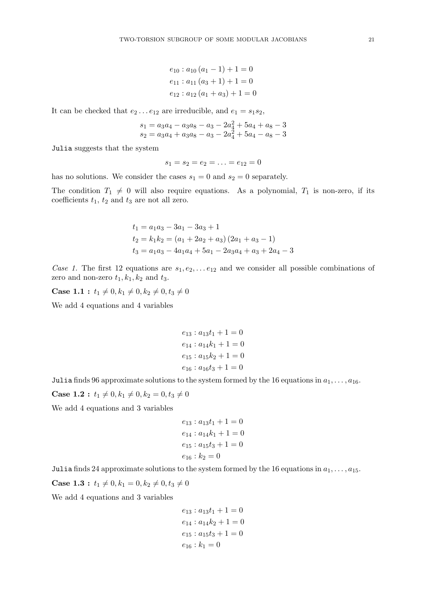$e_{10}$ :  $a_{10}$   $(a_1 - 1) + 1 = 0$  $e_{11}: a_{11} (a_3 + 1) + 1 = 0$  $e_{12}: a_{12}(a_1+a_3)+1=0$ 

It can be checked that  $e_2 \dots e_{12}$  are irreducible, and  $e_1 = s_1 s_2$ ,

$$
\begin{array}{l} s_1 = a_3a_4-a_3a_8-a_3-2a_4^2+5a_4+a_8-3 \\ s_2 = a_3a_4+a_3a_8-a_3-2a_4^2+5a_4-a_8-3 \end{array}
$$

Julia suggests that the system

$$
s_1 = s_2 = e_2 = \ldots = e_{12} = 0
$$

has no solutions. We consider the cases  $s_1 = 0$  and  $s_2 = 0$  separately.

The condition  $T_1 \neq 0$  will also require equations. As a polynomial,  $T_1$  is non-zero, if its coefficients  $t_1$ ,  $t_2$  and  $t_3$  are not all zero.

$$
t_1 = a_1 a_3 - 3a_1 - 3a_3 + 1
$$
  
\n
$$
t_2 = k_1 k_2 = (a_1 + 2a_2 + a_3) (2a_1 + a_3 - 1)
$$
  
\n
$$
t_3 = a_1 a_3 - 4a_1 a_4 + 5a_1 - 2a_3 a_4 + a_3 + 2a_4 - 3
$$

Case 1. The first 12 equations are  $s_1, e_2, \ldots e_{12}$  and we consider all possible combinations of zero and non-zero  $t_1, k_1, k_2$  and  $t_3$ .

**Case 1.1**:  $t_1 \neq 0, k_1 \neq 0, k_2 \neq 0, t_3 \neq 0$ 

We add 4 equations and 4 variables

$$
e_{13} : a_{13}t_1 + 1 = 0
$$
  

$$
e_{14} : a_{14}k_1 + 1 = 0
$$
  

$$
e_{15} : a_{15}k_2 + 1 = 0
$$
  

$$
e_{16} : a_{16}t_3 + 1 = 0
$$

Julia finds 96 approximate solutions to the system formed by the 16 equations in  $a_1, \ldots, a_{16}$ .

**Case 1.2**:  $t_1 \neq 0, k_1 \neq 0, k_2 = 0, t_3 \neq 0$ 

We add 4 equations and 3 variables

$$
e_{13} : a_{13}t_1 + 1 = 0
$$

$$
e_{14} : a_{14}k_1 + 1 = 0
$$

$$
e_{15} : a_{15}t_3 + 1 = 0
$$

$$
e_{16} : k_2 = 0
$$

Julia finds 24 approximate solutions to the system formed by the 16 equations in  $a_1, \ldots, a_{15}$ .

**Case 1.3**:  $t_1 \neq 0, k_1 = 0, k_2 \neq 0, t_3 \neq 0$ 

We add 4 equations and 3 variables

$$
e_{13} : a_{13}t_1 + 1 = 0
$$

$$
e_{14} : a_{14}k_2 + 1 = 0
$$

$$
e_{15} : a_{15}t_3 + 1 = 0
$$

$$
e_{16} : k_1 = 0
$$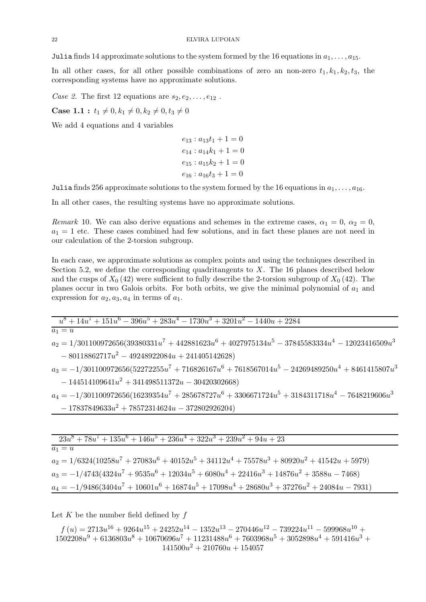Julia finds 14 approximate solutions to the system formed by the 16 equations in  $a_1, \ldots, a_{15}$ .

In all other cases, for all other possible combinations of zero an non-zero  $t_1, k_1, k_2, t_3$ , the corresponding systems have no approximate solutions.

Case 2. The first 12 equations are  $s_2, e_2, \ldots, e_{12}$ .

**Case 1.1** :  $t_1 \neq 0, k_1 \neq 0, k_2 \neq 0, t_3 \neq 0$ 

We add 4 equations and 4 variables

 $e_{13}$ :  $a_{13}t_1 + 1 = 0$  $e_{14}$ :  $a_{14}k_1 + 1 = 0$  $e_{15}: a_{15}k_2 + 1 = 0$  $e_{16}: a_{16}t_3 + 1 = 0$ 

Julia finds 256 approximate solutions to the system formed by the 16 equations in  $a_1, \ldots, a_{16}$ .

In all other cases, the resulting systems have no approximate solutions.

Remark 10. We can also derive equations and schemes in the extreme cases,  $\alpha_1 = 0$ ,  $\alpha_2 = 0$ ,  $a_1 = 1$  etc. These cases combined had few solutions, and in fact these planes are not need in our calculation of the 2-torsion subgroup.

In each case, we approximate solutions as complex points and using the techniques described in Section 5.2, we define the corresponding quadritangents to  $X$ . The 16 planes described below and the cusps of  $X_0$  (42) were sufficient to fully describe the 2-torsion subgroup of  $X_0$  (42). The planes occur in two Galois orbits. For both orbits, we give the minimal polynomial of  $a_1$  and expression for  $a_2, a_3, a_4$  in terms of  $a_1$ .

| $u^8 + 14u^7 + 151u^6 - 396u^5 + 283u^4 - 1730u^3 + 3201u^2 - 1440u + 2284$                         |
|-----------------------------------------------------------------------------------------------------|
| $a_1 = u$                                                                                           |
| $a_2 = 1/301100972656(39380331u^7 + 442881623u^6 + 4027975134u^5 - 37845583334u^4 - 12023416509u^3$ |
| $-80118862717u^2 - 49248922084u + 241405142628$                                                     |
| $a_3 = -1/301100972656(52272255u^7 + 716826167u^6 + 7618567014u^5 - 24269489250u^4 + 8461415807u^3$ |
| $-144514109641u^2 + 341498511372u - 30420302668)$                                                   |
| $a_4 = -1/301100972656(16239354u^7 + 285678727u^6 + 3306671724u^5 + 3184311718u^4 - 7648219606u^3$  |
| $-17837849633u^2 + 78572314624u - 372802926204)$                                                    |
|                                                                                                     |

| $23u^8 + 78u^7 + 135u^6 + 146u^5 + 236u^4 + 322u^3 + 239u^2 + 94u + 23$                         |  |
|-------------------------------------------------------------------------------------------------|--|
| $a_1 = u$                                                                                       |  |
| $a_2 = 1/6324(10258u^7 + 27083u^6 + 40152u^5 + 34112u^4 + 75578u^3 + 80920u^2 + 41542u + 5979)$ |  |
| $a_3 = -1/4743(4324u^7 + 9535u^6 + 12034u^5 + 6080u^4 + 22416u^3 + 14876u^2 + 3588u - 7468)$    |  |
| $a_4 = -1/9486(3404u^7 + 10601u^6 + 16874u^5 + 17098u^4 + 28680u^3 + 37276u^2 + 24084u - 7931)$ |  |
|                                                                                                 |  |

Let  $K$  be the number field defined by  $f$ 

 $f(u) = 2713u^{16} + 9264u^{15} + 24252u^{14} - 1352u^{13} - 270446u^{12} - 739224u^{11} - 599968u^{10} +$  $1502208u^9 + 6136803u^8 + 10670696u^7 + 11231488u^6 + 7603968u^5 + 3052898u^4 + 591416u^3 +$  $141500u^2 + 210760u + 154057$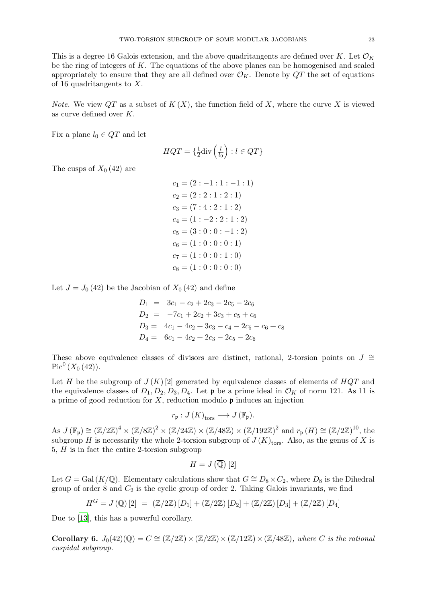*Note.* We view  $QT$  as a subset of  $K(X)$ , the function field of X, where the curve X is viewed as curve defined over K.

Fix a plane  $l_0 \in QT$  and let

$$
HQT = \left\{ \frac{1}{2} \text{div} \left( \frac{l}{l_0} \right) : l \in QT \right\}
$$

The cusps of  $X_0$  (42) are

$$
c_1 = (2:-1:1:-1:1)
$$
  
\n
$$
c_2 = (2:2:1:2:1)
$$
  
\n
$$
c_3 = (7:4:2:1:2)
$$
  
\n
$$
c_4 = (1:-2:2:1:2)
$$
  
\n
$$
c_5 = (3:0:0:-1:2)
$$
  
\n
$$
c_6 = (1:0:0:0:1)
$$
  
\n
$$
c_7 = (1:0:0:1:0)
$$
  
\n
$$
c_8 = (1:0:0:0:0)
$$

Let  $J = J_0 (42)$  be the Jacobian of  $X_0 (42)$  and define

$$
D_1 = 3c_1 - c_2 + 2c_3 - 2c_5 - 2c_6
$$
  
\n
$$
D_2 = -7c_1 + 2c_2 + 3c_3 + c_5 + c_6
$$
  
\n
$$
D_3 = 4c_1 - 4c_2 + 3c_3 - c_4 - 2c_5 - c_6 + c_8
$$
  
\n
$$
D_4 = 6c_1 - 4c_2 + 2c_3 - 2c_5 - 2c_6
$$

These above equivalence classes of divisors are distinct, rational, 2-torsion points on  $J \cong$  $\operatorname{Pic}^0\left(X_0\left(42\right)\right)$ .

Let H be the subgroup of  $J(K)[2]$  generated by equivalence classes of elements of  $HQT$  and the equivalence classes of  $D_1, D_2, D_3, D_4$ . Let  $\mathfrak{p}$  be a prime ideal in  $\mathcal{O}_K$  of norm 121. As 11 is a prime of good reduction for  $X$ , reduction modulo  $\mathfrak p$  induces an injection

$$
r_{\mathfrak{p}}:J(K)_{\text{tors}}\longrightarrow J(\mathbb{F}_{\mathfrak{p}}).
$$

 $\text{As } J(\mathbb{F}_{p}) \cong (\mathbb{Z}/2\mathbb{Z})^{4} \times (\mathbb{Z}/8\mathbb{Z})^{2} \times (\mathbb{Z}/24\mathbb{Z}) \times (\mathbb{Z}/48\mathbb{Z}) \times (\mathbb{Z}/192\mathbb{Z})^{2} \text{ and } r_{p}(H) \cong (\mathbb{Z}/2\mathbb{Z})^{10}, \text{ the }$ subgroup H is necessarily the whole 2-torsion subgroup of  $J(K)_{\text{tors}}$ . Also, as the genus of X is 5, H is in fact the entire 2-torsion subgroup

$$
H=J\left(\overline{\mathbb{Q}}\right)[2]
$$

Let  $G = \text{Gal}(K/\mathbb{Q})$ . Elementary calculations show that  $G \cong D_8 \times C_2$ , where  $D_8$  is the Dihedral group of order  $8$  and  $C_2$  is the cyclic group of order 2. Taking Galois invariants, we find

$$
H^G = J(\mathbb{Q})[2] = (\mathbb{Z}/2\mathbb{Z})[D_1] + (\mathbb{Z}/2\mathbb{Z})[D_2] + (\mathbb{Z}/2\mathbb{Z})[D_3] + (\mathbb{Z}/2\mathbb{Z})[D_4]
$$

Due to [\[13](#page-32-1)], this has a powerful corollary.

Corollary 6.  $J_0(42)(\mathbb{Q}) = C \cong (\mathbb{Z}/2\mathbb{Z}) \times (\mathbb{Z}/2\mathbb{Z}) \times (\mathbb{Z}/12\mathbb{Z}) \times (\mathbb{Z}/48\mathbb{Z})$ , where C is the rational cuspidal subgroup.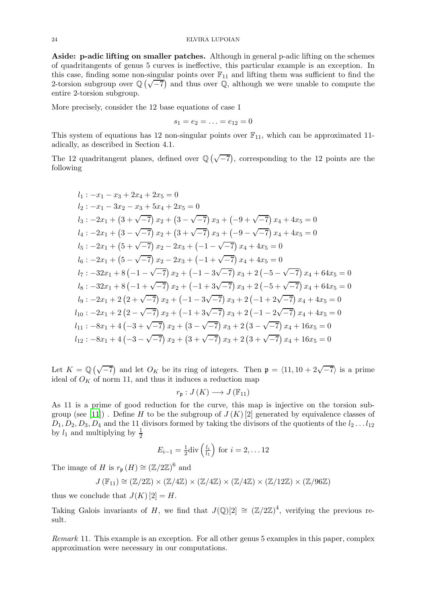Aside: p-adic lifting on smaller patches. Although in general p-adic lifting on the schemes of quadritangents of genus 5 curves is ineffective, this particular example is an exception. In this case, finding some non-singular points over  $\mathbb{F}_{11}$  and lifting them was sufficient to find the 2-torsion subgroup over  $\mathbb{Q}(\sqrt{-7})$  and thus over  $\mathbb{Q}$ , although we were unable to compute the entire 2-torsion subgroup.

More precisely, consider the 12 base equations of case 1

$$
s_1 = e_2 = \ldots = e_{12} = 0
$$

This system of equations has 12 non-singular points over  $\mathbb{F}_{11}$ , which can be approximated 11adically, as described in Section 4.1.

The 12 quadritangent planes, defined over  $\mathbb{Q}(\sqrt{-7})$ , corresponding to the 12 points are the following

$$
l_1: -x_1 - x_3 + 2x_4 + 2x_5 = 0
$$
  
\n
$$
l_2: -x_1 - 3x_2 - x_3 + 5x_4 + 2x_5 = 0
$$
  
\n
$$
l_3: -2x_1 + (3 + \sqrt{-7}) x_2 + (3 - \sqrt{-7}) x_3 + (-9 + \sqrt{-7}) x_4 + 4x_5 = 0
$$
  
\n
$$
l_4: -2x_1 + (3 - \sqrt{-7}) x_2 + (3 + \sqrt{-7}) x_3 + (-9 - \sqrt{-7}) x_4 + 4x_5 = 0
$$
  
\n
$$
l_5: -2x_1 + (5 + \sqrt{-7}) x_2 - 2x_3 + (-1 - \sqrt{-7}) x_4 + 4x_5 = 0
$$
  
\n
$$
l_6: -2x_1 + (5 - \sqrt{-7}) x_2 - 2x_3 + (-1 + \sqrt{-7}) x_4 + 4x_5 = 0
$$
  
\n
$$
l_7: -32x_1 + 8(-1 - \sqrt{-7}) x_2 + (-1 - 3\sqrt{-7}) x_3 + 2(-5 - \sqrt{-7}) x_4 + 64x_5 = 0
$$
  
\n
$$
l_8: -32x_1 + 8(-1 + \sqrt{-7}) x_2 + (-1 + 3\sqrt{-7}) x_3 + 2(-5 + \sqrt{-7}) x_4 + 64x_5 = 0
$$
  
\n
$$
l_9: -2x_1 + 2(2 + \sqrt{-7}) x_2 + (-1 - 3\sqrt{-7}) x_3 + 2(-1 + 2\sqrt{-7}) x_4 + 4x_5 = 0
$$
  
\n
$$
l_{10}: -2x_1 + 2(2 - \sqrt{-7}) x_2 + (-1 + 3\sqrt{-7}) x_3 + 2(-1 - 2\sqrt{-7}) x_4 + 4x_5 = 0
$$
  
\n
$$
l_{11}: -8x_1 + 4(-3 + \sqrt{-7}) x_2 + (3 - \sqrt{-7}) x_3 + 2(3 - \sqrt{-7}) x_4 + 16x_5 = 0
$$
  
\n
$$
l_{12}: -8x_1 + 4(-3 - \sqrt{-7}) x_2 + (3 + \sqrt{-7}) x_3 + 2(3 + \sqrt{-7}) x_4 + 16
$$

Let  $K = \mathbb{Q}(\sqrt{-7})$  and let  $O_K$  be its ring of integers. Then  $\mathfrak{p} = \langle 11, 10 + 2\sqrt{-7} \rangle$  is a prime ideal of  $O<sub>K</sub>$  of norm 11, and thus it induces a reduction map

$$
r_{\mathfrak{p}}:J(K)\longrightarrow J(\mathbb{F}_{11})
$$

As 11 is a prime of good reduction for the curve, this map is injective on the torsion sub-group (see [\[11\]](#page-32-14)). Define H to be the subgroup of  $J(K)$  [2] generated by equivalence classes of  $D_1, D_2, D_3, D_4$  and the 11 divisors formed by taking the divisors of the quotients of the  $l_2 \ldots l_{12}$ by  $l_1$  and multiplying by  $\frac{1}{2}$ 

$$
E_{i-1} = \frac{1}{2} \text{div} \left( \frac{l_i}{l_1} \right) \text{ for } i = 2, \dots 12
$$

The image of H is  $r_{\mathfrak{p}}(H) \cong (\mathbb{Z}/2\mathbb{Z})^6$  and

$$
J\left(\mathbb{F}_{11}\right) \cong \left(\mathbb{Z}/2\mathbb{Z}\right) \times \left(\mathbb{Z}/4\mathbb{Z}\right) \times \left(\mathbb{Z}/4\mathbb{Z}\right) \times \left(\mathbb{Z}/4\mathbb{Z}\right) \times \left(\mathbb{Z}/12\mathbb{Z}\right) \times \left(\mathbb{Z}/96\mathbb{Z}\right)
$$

thus we conclude that  $J(K)[2] = H$ .

Taking Galois invariants of H, we find that  $J(Q)[2] \cong (\mathbb{Z}/2\mathbb{Z})^4$ , verifying the previous result.

Remark 11. This example is an exception. For all other genus 5 examples in this paper, complex approximation were necessary in our computations.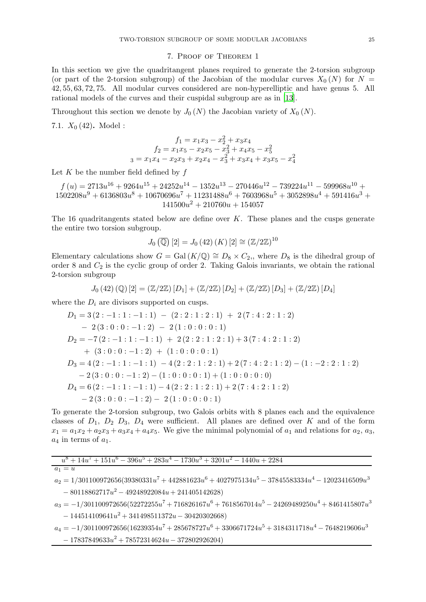### 7. Proof of Theorem 1

In this section we give the quadritangent planes required to generate the 2-torsion subgroup (or part of the 2-torsion subgroup) of the Jacobian of the modular curves  $X_0(N)$  for  $N =$ 42, 55, 63, 72, 75. All modular curves considered are non-hyperelliptic and have genus 5. All rational models of the curves and their cuspidal subgroup are as in [\[13](#page-32-1)].

Throughout this section we denote by  $J_0(N)$  the Jacobian variety of  $X_0(N)$ .

7.1.  $X_0(42)$ . Model:

$$
f_1 = x_1x_3 - x_2^2 + x_3x_4
$$
  
\n
$$
f_2 = x_1x_5 - x_2x_5 - x_3^2 + x_4x_5 - x_5^2
$$
  
\n
$$
s = x_1x_4 - x_2x_3 + x_2x_4 - x_3^2 + x_3x_4 + x_3x_5 - x_4^2
$$

Let  $K$  be the number field defined by  $f$ 

 $f(u) = 2713u^{16} + 9264u^{15} + 24252u^{14} - 1352u^{13} - 270446u^{12} - 739224u^{11} - 599968u^{10} +$  $1502208u^9 + 6136803u^8 + 10670696u^7 + 11231488u^6 + 7603968u^5 + 3052898u^4 + 591416u^3 +$  $141500u^2 + 210760u + 154057$ 

The 16 quadritangents stated below are define over  $K$ . These planes and the cusps generate the entire two torsion subgroup.

$$
J_0\left(\overline{\mathbb{Q}}\right)[2] = J_0\left(42\right)(K)[2] \cong \left(\mathbb{Z}/2\mathbb{Z}\right)^{10}
$$

Elementary calculations show  $G = \text{Gal}(K/\mathbb{Q}) \cong D_8 \times C_2$ , where  $D_8$  is the dihedral group of order 8 and  $C_2$  is the cyclic group of order 2. Taking Galois invariants, we obtain the rational 2-torsion subgroup

$$
J_0(42) \left( \mathbb{Q} \right) [2] = \left( \mathbb{Z}/2\mathbb{Z} \right) [D_1] + \left( \mathbb{Z}/2\mathbb{Z} \right) [D_2] + \left( \mathbb{Z}/2\mathbb{Z} \right) [D_3] + \left( \mathbb{Z}/2\mathbb{Z} \right) [D_4]
$$

where the  $D_i$  are divisors supported on cusps.

$$
D_1 = 3 (2:-1:1:-1:1) - (2:2:1:2:1) + 2(7:4:2:1:2)
$$
  
\n
$$
- 2 (3:0:0:-1:2) - 2 (1:0:0:0:1)
$$
  
\n
$$
D_2 = -7(2:-1:1:-1:1) + 2(2:2:1:2:1) + 3(7:4:2:1:2)
$$
  
\n
$$
+ (3:0:0:-1:2) + (1:0:0:0:1)
$$
  
\n
$$
D_3 = 4 (2:-1:1:-1:1) - 4 (2:2:1:2:1) + 2(7:4:2:1:2) - (1:-2:2:1:2)
$$
  
\n
$$
- 2 (3:0:0:-1:2) - (1:0:0:0:1) + (1:0:0:0:0)
$$
  
\n
$$
D_4 = 6 (2:-1:1:-1:1) - 4 (2:2:1:2:1) + 2(7:4:2:1:2)
$$
  
\n
$$
- 2 (3:0:0:-1:2) - 2 (1:0:0:0:1)
$$

To generate the 2-torsion subgroup, two Galois orbits with 8 planes each and the equivalence classes of  $D_1$ ,  $D_2$   $D_3$ ,  $D_4$  were sufficient. All planes are defined over K and of the form  $x_1 = a_1x_2 + a_2x_3 + a_3x_4 + a_4x_5$ . We give the minimal polynomial of  $a_1$  and relations for  $a_2$ ,  $a_3$ ,  $a_4$  in terms of  $a_1$ .

| $u^8 + 14u^7 + 151u^6 - 396u^5 + 283u^4 - 1730u^3 + 3201u^2 - 1440u + 2284$                         |
|-----------------------------------------------------------------------------------------------------|
| $a_1 = u$                                                                                           |
| $a_2 = 1/301100972656(39380331u^7 + 442881623u^6 + 4027975134u^5 - 37845583334u^4 - 12023416509u^3$ |
| $-80118862717u^2 - 49248922084u + 241405142628)$                                                    |
| $a_3 = -1/301100972656(52272255u^7 + 716826167u^6 + 7618567014u^5 - 24269489250u^4 + 8461415807u^3$ |
| $-144514109641u^2 + 341498511372u - 30420302668)$                                                   |
| $a_4 = -1/301100972656(16239354u^7 + 285678727u^6 + 3306671724u^5 + 3184311718u^4 - 7648219606u^3$  |
| $-17837849633u^2 + 78572314624u - 372802926204)$                                                    |
|                                                                                                     |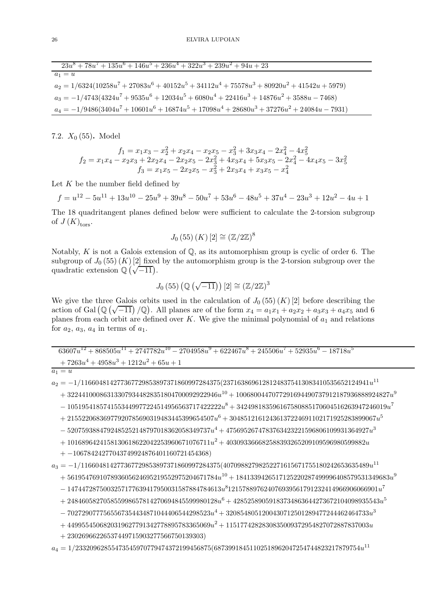| $23u^8 + 78u^7 + 135u^6 + 146u^5 + 236u^4 + 322u^3 + 239u^2 + 94u + 23$                         |
|-------------------------------------------------------------------------------------------------|
| $a_1 = u$                                                                                       |
| $a_2 = 1/6324(10258u^7 + 27083u^6 + 40152u^5 + 34112u^4 + 75578u^3 + 80920u^2 + 41542u + 5979)$ |
| $a_3 = -1/4743(4324u^7 + 9535u^6 + 12034u^5 + 6080u^4 + 22416u^3 + 14876u^2 + 3588u - 7468)$    |
| $a_4 = -1/9486(3404u^7 + 10601u^6 + 16874u^5 + 17098u^4 + 28680u^3 + 37276u^2 + 24084u - 7931)$ |

7.2.  $X_0$  (55). Model

$$
f_1 = x_1x_3 - x_2^2 + x_2x_4 - x_2x_5 - x_3^2 + 3x_3x_4 - 2x_4^2 - 4x_5^2
$$
  
\n
$$
f_2 = x_1x_4 - x_2x_3 + 2x_2x_4 - 2x_2x_5 - 2x_3^2 + 4x_3x_4 + 5x_3x_5 - 2x_4^2 - 4x_4x_5 - 3x_5^2
$$
  
\n
$$
f_3 = x_1x_5 - 2x_2x_5 - x_3^2 + 2x_3x_4 + x_3x_5 - x_4^2
$$

Let  $K$  be the number field defined by

 $f = u^{12} - 5u^{11} + 13u^{10} - 25u^9 + 39u^8 - 50u^7 + 53u^6 - 48u^5 + 37u^4 - 23u^3 + 12u^2 - 4u + 1$ 

The 18 quadritangent planes defined below were sufficient to calculate the 2-torsion subgroup of  $J(K)_{\text{tors}}$ .

$$
J_0(55)(K)[2] \cong (\mathbb{Z}/2\mathbb{Z})^8
$$

Notably, K is not a Galois extension of  $\mathbb{Q}$ , as its automorphism group is cyclic of order 6. The subgroup of  $J_0$  (55) (K) [2] fixed by the automorphism group is the 2-torsion subgroup over the quadratic extension  $\mathbb{Q}(\sqrt{-11})$ .

$$
J_0(55)\left(\mathbb{Q}\left(\sqrt{-11}\right)\right)[2]\cong\left(\mathbb{Z}/2\mathbb{Z}\right)^3
$$

We give the three Galois orbits used in the calculation of  $J_0(55)(K)[2]$  before describing the action of Gal  $(\mathbb{Q}(\sqrt{-11})/\mathbb{Q})$ . All planes are of the form  $x_4 = a_1x_1 + a_2x_2 + a_3x_3 + a_4x_5$  and 6 planes from each orbit are defined over K. We give the minimal polynomial of  $a_1$  and relations for  $a_2$ ,  $a_3$ ,  $a_4$  in terms of  $a_1$ .

 $63607u^{12} + 868505u^{11} + 2747782u^{10} - 2704958u^9 + 622467u^8 + 245506u^7 + 52935u^6 - 18718u^5$  $+\,7263u^4+4958u^3+1212u^2+65u+1$ 

$$
a_1 = i
$$

 $a_2 = -1/116604814277367729853897371860997284375(23716386961281248375413083410535652124941u^{11}$ 

 $+\ 322441000863133079344828351804700092922946u^{10}+1006800447077291694490737912187936888924827u^9$ 

 $- \ 1051954185741553449977224514956563717422222u^8 + 342498183596167580885170604516263947246019u^7$ 

 $+ \ 21552206836977920785690319483445399654507u^6 + 30485121612436137224691102171925283899067u^5$ 

 $-5207593884792485252148797018362058349737u^4 + 4756952674783763423221596806109931364927u^3$ 

 $+1016896424158130618622042253960671076711u^2+403093366682588393265209109596980599882u$ 

 $+ -10678424277043749924876401160721454368)$ 

 $a_3=-1/116604814277367729853897371860997284375 (40709882798252271615671755180242653635489 \boldsymbol{u}^{11}$  $+ \, 561954769107893605624695219552975204671784u^{10} + 1841339426517125220287499996408579531349683u^9$ 

 $- \ 1474472875003257177639417950031587884784613u^8121578897624076939561791232414966906066901u^7$ 

 $+ 248460582705855998657814270694845599980128u^6 + 42852589059183734863644273672104098935543u^5$ 

 $-7027290777565567354434871044406544298523u^4+3208548051200430712501289477244462464733u^3$ 

 $+ 4499554506820319627791342778895783365069u^2 + 1151774282830835009372954827072887837003u$ 

 $+ 23026966226537449715903277566750139303)$ 

 $a_4 = 1/23320962855473545970779474372199456875(68739918451102518962047254744823217879754u^{11}$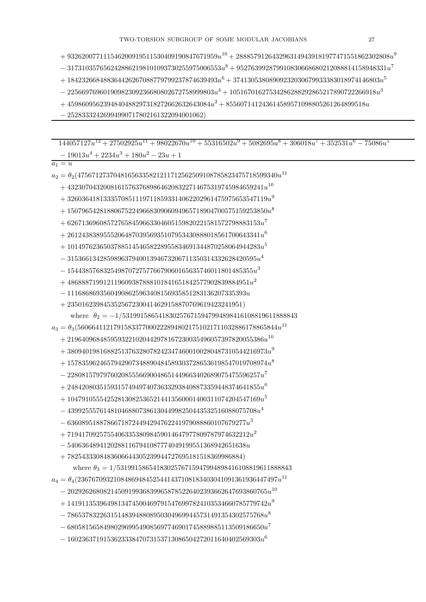$-3173103576562428862198101093730255975006553u^8+952763992879910830668680212088814158948331u^7$ 

- $+ \ 184232668488364426267088779799237874639493u^6\allowbreak + 37413053808909232030679933383018974146803u^5$
- $-22566976960190982309236680802672758999803u^4 + 10516701627534286288292865217890722266918u^3$
- $+4598609562394840488297318272662632643084u^2+855607141243614589571098805261264899518u$
- $-25283332426994990717802161322094001062$

 $144057127u^{12} + 27502925u^{11} + 98022670u^{10} + 55316502u^9 + 5082695u^8 + 306018u^7 + 352531u^6 - 75086u^5$ 

 $-19013u^4 + 2234u^3 + 180u^2 - 23u + 1$  $a_1 = u$  $a_2 = \theta_2(47567127370481656335821211712562509108785823475718599340u^{11}$  $+ 4323070432008161576376898646208322714675319745984659241u^{10}$  $+32603641813335708511197118593314062202961475975653547119u<sup>9</sup>$  $+15079654281880675224966830906094965718904700575159253850u<sup>8</sup>$  $+626713696085727658459663304605159820221581572798883153u^7$  $+261243838955520648703956935107953430888018561700643341u^6$  $+ \, 101497623650378851454658228955834691344870258064944283u^5$  $-31536613428598963794001394673206711350314332628420595u<sup>4</sup>$  $- 1544385768325498707275776679060165635746011801485355u^3$  $+486888719912119609387888101841651842577902839884951u^2$  $-11168686935604908625963408156935851283136207335393u$  $+2350162398453525672300414629158870769619423241951)$ where  $\theta_2 = -1/5319915865418302576715947994898416108819611888843$  $a_3 = \theta_3 (56066411217915833770002228948021751021711032886178865844u^{11}$  $+2196409684859593221020442978167230035496057397820055386u^{10}$  $+38094019816882513763280782423474600100280487310544216973u<sup>9</sup>$  $+ 15783596246579429073488904845893037286536198547019708974u^8$  $-228081579797602085556690048651449663402689075475596257u^7$  $+ 248420803515931574949740736332938408873359448374641855u^6$  $+104791055542528130825365214413560001400311074204547169u^5$  $- \ 43992555761481046880738613044998250443532516088075708u^4$  $-63608951887866718724494294762241979088860107679277u^3$  $+719417092575540633538098459014647977809787974632212u^2$  $-54063648941202881167941087774049199551368942651638u$  $+7825433308483606644305239944727695181518369986884)$ where  $\theta_3 = 1/5319915865418302576715947994898416108819611888843$  $a_4 = \theta_4 (23676709321084869484525441437108183403041091361936447497u^{11}$  $-20292626808214509199368399658785226402393662647693860765u^{10}$  $+ 14191135396498134745004697915476997824103534660785779742u<sup>9</sup>$  $-7865378322631514839488089503049699445731491354302575768u^8$  $-6805815658498029699549085697746901745889885113509186650u^7$  $-160236371915362333847073153713086504272011640402569303u^6$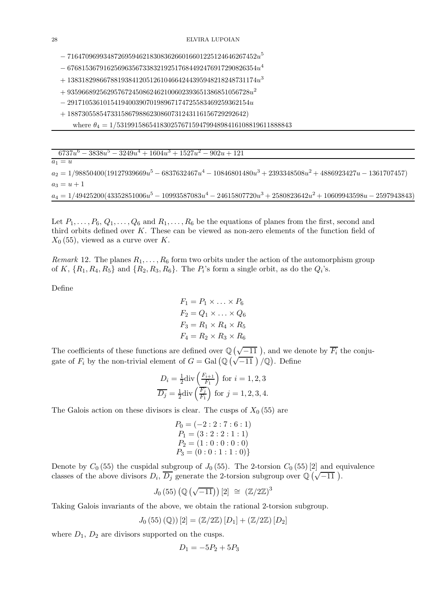$-71647096993487269594621830836266016601225124646267452<sup>5</sup>$ 

 $-67681536791625696356733832192517684492476917290826354u^4$ 

- $+ \, 13831829866788193841205126104664244395948218248731174 \hspace{0.03em} u^3$
- $+\,935966892562957672450862462100602393651386851056728u^2$
- $291710536101541940039070198967174725583469259362154u$
- + 18873055854733158679886230860731243116156729292642)
	- where  $\theta_4 = 1/5319915865418302576715947994898416108819611888843$

| $6737u^6 - 3838u^5 - 3249u^4 + 1604u^3 + 1527u^2 - 902u + 121$                                                   |
|------------------------------------------------------------------------------------------------------------------|
| $a_1 = u$                                                                                                        |
| $a_2 = 1/98850400(19127939669u^5 - 6837632467u^4 - 10846801480u^3 + 2393348508u^2 + 4886923427u - 1361707457)$   |
| $a_3 = u + 1$                                                                                                    |
| $a_4 = 1/49425200(43352851006u^5 - 10993587083u^4 - 24615807720u^3 + 2580823642u^2 + 10609943598u - 2597943843)$ |

Let  $P_1, \ldots, P_6, Q_1, \ldots, Q_6$  and  $R_1, \ldots, R_6$  be the equations of planes from the first, second and third orbits defined over  $K$ . These can be viewed as non-zero elements of the function field of  $X_0$  (55), viewed as a curve over K.

Remark 12. The planes  $R_1, \ldots, R_6$  form two orbits under the action of the automorphism group of K,  $\{R_1, R_4, R_5\}$  and  $\{R_2, R_3, R_6\}$ . The  $P_i$ 's form a single orbit, as do the  $Q_i$ 's.

Define

$$
F_1 = P_1 \times \ldots \times P_6
$$
  
\n
$$
F_2 = Q_1 \times \ldots \times Q_6
$$
  
\n
$$
F_3 = R_1 \times R_4 \times R_5
$$
  
\n
$$
F_4 = R_2 \times R_3 \times R_6
$$

The coefficients of these functions are defined over  $\mathbb{Q}(\sqrt{-11})$ , and we denote by  $\overline{F_i}$  the conjugate of  $F_i$  by the non-trivial element of  $G = \text{Gal}(\mathbb{Q}(\sqrt{-11})^{\gamma}(\mathbb{Q})$ . Define

$$
D_i = \frac{1}{2} \text{div} \left( \frac{F_{i+1}}{F_1} \right) \text{ for } i = 1, 2, 3
$$
  

$$
\overline{D_j} = \frac{1}{2} \text{div} \left( \frac{F_j}{F_1} \right) \text{ for } j = 1, 2, 3, 4.
$$

The Galois action on these divisors is clear. The cusps of  $X_0$  (55) are

$$
P_0 = (-2:2:7:6:1)
$$
  
\n
$$
P_1 = (3:2:2:1:1)
$$
  
\n
$$
P_2 = (1:0:0:0:0)
$$
  
\n
$$
P_3 = (0:0:1:1:0)
$$
}

Denote by  $C_0$  (55) the cuspidal subgroup of  $J_0$  (55). The 2-torsion  $C_0$  (55) [2] and equivalence classes of the above divisors  $D_i$ ,  $\overline{D_j}$  generate the 2-torsion subgroup over  $\mathbb{Q}(\sqrt{-11})$ .

$$
J_0(55)\left(\mathbb{Q}\left(\sqrt{-11}\right)\right)[2] \;\cong\; \left(\mathbb{Z}/2\mathbb{Z}\right)^3
$$

Taking Galois invariants of the above, we obtain the rational 2-torsion subgroup.

$$
J_0(55)(\mathbb{Q})\left[2\right] = \left(\mathbb{Z}/2\mathbb{Z}\right)\left[D_1\right] + \left(\mathbb{Z}/2\mathbb{Z}\right)\left[D_2\right]
$$

where  $D_1$ ,  $D_2$  are divisors supported on the cusps.

$$
D_1 = -5P_2 + 5P_3
$$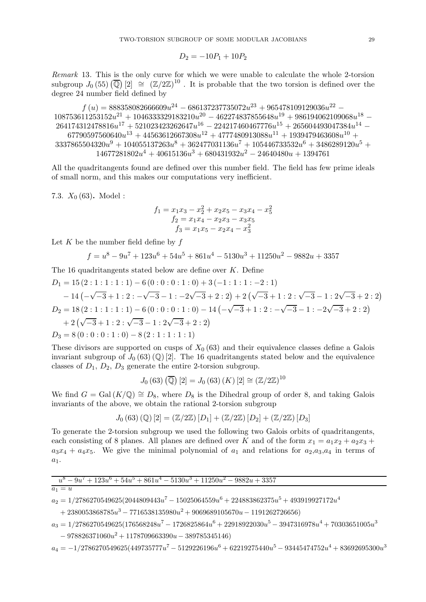$$
D_2 = -10P_1 + 10P_2
$$

Remark 13. This is the only curve for which we were unable to calculate the whole 2-torsion subgroup  $J_0(55)$   $\left(\overline{\mathbb{Q}}\right)[2] \cong \left(\mathbb{Z}/2\mathbb{Z}\right)^{10}$ . It is probable that the two torsion is defined over the degree 24 number field defined by

 $f (u) = 888358082666609u^{24} - 686137237735072u^{23} + 965478109129036u^{22} 108753611253152u^2$ <sup>1</sup> +  $1046333329183210u^2$ <sup>0</sup> -  $462274837855648u^1$ <sup>9</sup> +  $986194062109068u^1$ <sup>8</sup> - $264174312478816u^{17} + 521023423262647u^{16} - 224217460467776u^{15} + 265604493047384u^{14} 67790597560640u^{13} + 44563612667308u^{12} + 4777480913088u^{11} + 1939479463608u^{10} +$  $3337865504320u^9 + 104055137263u^8 + 362477031136u^7 + 105446733532u^6 + 3486289120u^5 +$  $14677281802u^4 + 40615136u^3 + 680431932u^2 - 24640480u + 1394761$ 

All the quadritangents found are defined over this number field. The field has few prime ideals of small norm, and this makes our computations very inefficient.

7.3.  $X_0$  (63). Model :

$$
f_1 = x_1x_3 - x_2^2 + x_2x_5 - x_3x_4 - x_5^2
$$
  

$$
f_2 = x_1x_4 - x_2x_3 - x_3x_5
$$
  

$$
f_3 = x_1x_5 - x_2x_4 - x_3^2
$$

Let K be the number field define by  $f$ 

$$
f = u^8 - 9u^7 + 123u^6 + 54u^5 + 861u^4 - 5130u^3 + 11250u^2 - 9882u + 3357
$$

The 16 quadritangents stated below are define over *K*. Define  
\n
$$
D_1 = 15(2:1:1:1:1) - 6(0:0:0:1:0) + 3(-1:1:1:-2:1)
$$
\n
$$
-14(-\sqrt{-3}+1:2:-\sqrt{-3}-1:-2\sqrt{-3}+2:2)+2(\sqrt{-3}+1:2:\sqrt{-3}-1:2\sqrt{-3}+2:2)
$$
\n
$$
D_2 = 18(2:1:1:1:1) - 6(0:0:0:1:0) - 14(-\sqrt{-3}+1:2:-\sqrt{-3}-1:-2\sqrt{-3}+2:2)
$$
\n
$$
+2(\sqrt{-3}+1:2:\sqrt{-3}-1:2\sqrt{-3}+2:2)
$$
\n
$$
D_3 = 8(0:0:0:1:0) - 8(2:1:1:1:1)
$$

These divisors are supported on cusps of  $X_0$  (63) and their equivalence classes define a Galois invariant subgroup of  $J_0(63)(\mathbb{Q})$  [2]. The 16 quadritangents stated below and the equivalence classes of  $D_1$ ,  $D_2$ ,  $D_3$  generate the entire 2-torsion subgroup.

$$
J_0(63)\left(\overline{\mathbb{Q}}\right)[2] = J_0(63)\left(K\right)[2] \cong \left(\mathbb{Z}/2\mathbb{Z}\right)^{10}
$$

We find  $G = \text{Gal}(K/\mathbb{Q}) \cong D_8$ , where  $D_8$  is the Dihedral group of order 8, and taking Galois invariants of the above, we obtain the rational 2-torsion subgroup

$$
J_0(63)(\mathbb{Q})[2] = (\mathbb{Z}/2\mathbb{Z})[D_1] + (\mathbb{Z}/2\mathbb{Z})[D_2] + (\mathbb{Z}/2\mathbb{Z})[D_3]
$$

To generate the 2-torsion subgroup we used the following two Galois orbits of quadritangents, each consisting of 8 planes. All planes are defined over K and of the form  $x_1 = a_1x_2 + a_2x_3 +$  $a_3x_4 + a_4x_5$ . We give the minimal polynomial of  $a_1$  and relations for  $a_2,a_3,a_4$  in terms of  $a_1$ .

|--|

$$
\overline{a_1} = u
$$

 $a_2 = 1/2786270549625(2044809443u^7 - 15025064559u^6 + 224883862375u^5 + 493919927172u^4$ 

 $+ 2380053868785u^3 - 7716538135980u^2 + 9069689105670u - 1191262726656)$ 

$$
a_3 = 1/2786270549625(176568248u^7 - 1726825864u^6 + 22918922030u^5 - 3947316978u^4 + 70303651005u^3
$$

 $-978826371060u^2 + 1178709663390u - 389785345146$ 

 $a_4 = -1/2786270549625 (449735777u^7 - 5129226196u^6 + 62219275440u^5 - 93445474752u^4 + 83692695300u^3$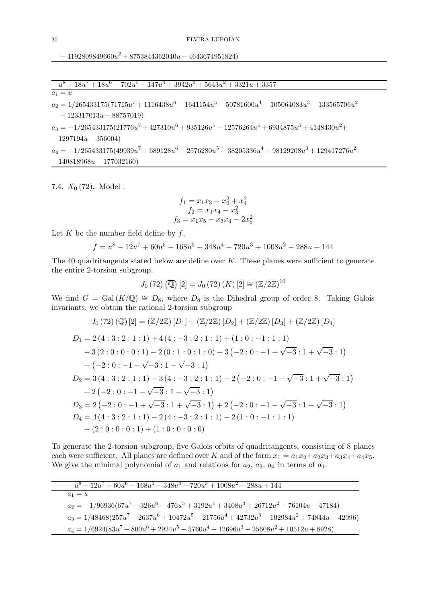$-4192809849660u^2 + 8753844362040u - 4643674951824)$ 

$$
u8 + 18u7 + 18u6 - 702u5 - 147u4 + 3942u3 + 5643u2 + 3321u + 3357
$$
  
a<sub>1</sub> = u  
a<sub>2</sub> = 1/265433175(71715u<sup>7</sup> + 1116438u<sup>6</sup> - 1641154u<sup>5</sup> - 50781600u<sup>4</sup> + 105064083u<sup>3</sup> + 133565706u<sup>2</sup>  
- 123317013u - 88757019)  
a<sub>3</sub> = -1/265433175(21776u<sup>7</sup> + 427310u<sup>6</sup> + 935126u<sup>5</sup> - 12576264u<sup>4</sup> + 6934875u<sup>3</sup> + 4148430u<sup>2</sup> +

 $a_4 = -1/265433175(49939u^7 + 689128u^6 - 2576280u^5 - 38205336u^4 + 98129208u^3 + 129417276u^2 +$  $140818968u + 177032160$ 

7.4.  $X_0$  (72). Model :

 $1297194u - 356004$ 

$$
f_1 = x_1x_3 - x_2^2 + x_4^2
$$
  
\n
$$
f_2 = x_1x_4 - x_3^2
$$
  
\n
$$
f_3 = x_1x_5 - x_3x_4 - 2x_5^2
$$

Let  $K$  be the number field define by  $f$ ,

$$
f = u^8 - 12u^7 + 60u^6 - 168u^5 + 348u^4 - 720u^3 + 1008u^2 - 288u + 144
$$

The 40 quadritangents stated below are define over  $K$ . These planes were sufficient to generate the entire 2-torsion subgroup.

$$
J_0(72) (\overline{Q}) [2] = J_0(72) (K) [2] \cong (\mathbb{Z}/2\mathbb{Z})^{10}
$$

We find  $G = \text{Gal}(K/\mathbb{Q}) \cong D_8$ , where  $D_8$  is the Dihedral group of order 8. Taking Galois invariants, we obtain the rational 2-torsion subgroup

$$
J_0(72) \text{ (Q)} [2] = (\mathbb{Z}/2\mathbb{Z}) [D_1] + (\mathbb{Z}/2\mathbb{Z}) [D_2] + (\mathbb{Z}/2\mathbb{Z}) [D_3] + (\mathbb{Z}/2\mathbb{Z}) [D_4]
$$
  
\n
$$
D_1 = 2 (4:3:2:1:1) + 4 (4:-3:2:1:1) + (1:0:-1:1:1)
$$
  
\n
$$
-3 (2:0:0:0:1) - 2 (0:1:0:1:0) - 3 (-2:0:-1+\sqrt{-3}:1+\sqrt{-3}:1)
$$
  
\n
$$
+ (-2:0:-1-\sqrt{-3}:1-\sqrt{-3}:1)
$$
  
\n
$$
D_2 = 3 (4:3:2:1:1) - 3 (4:-3:2:1:1) - 2 (-2:0:-1+\sqrt{-3}:1+\sqrt{-3}:1)
$$
  
\n
$$
+ 2 (-2:0:-1-\sqrt{-3}:1-\sqrt{-3}:1)
$$
  
\n
$$
D_3 = 2 (-2:0:-1+\sqrt{-3}:1+\sqrt{-3}:1) + 2 (-2:0:-1-\sqrt{-3}:1-\sqrt{-3}:1)
$$
  
\n
$$
D_4 = 4 (4:3:2:1:1) - 2 (4:-3:2:1:1) - 2 (1:0:-1:1:1)
$$
  
\n
$$
- (2:0:0:0:1) + (1:0:0:0:0)
$$

To generate the 2-torsion subgroup, five Galois orbits of quadritangents, consisting of 8 planes each were sufficient. All planes are defined over K and of the form  $x_1 = a_1x_2 + a_2x_3 + a_3x_4 + a_4x_5$ . We give the minimal polynomial of  $a_1$  and relations for  $a_2$ ,  $a_3$ ,  $a_4$  in terms of  $a_1$ .

| $u^8 - 12u^7 + 60u^6 - 168u^5 + 348u^4 - 720u^3 + 1008u^2 - 288u + 144$                         |
|-------------------------------------------------------------------------------------------------|
| $a_1 = u$                                                                                       |
| $a_2 = -1/96936(67u^7 - 326u^6 - 476u^5 + 3192u^4 + 3408u^3 + 26712u^2 - 76104u - 47184)$       |
| $a_3 = 1/48468(257u^7 - 2637u^6 + 10472u^5 - 21756u^4 + 42732u^3 - 102984u^2 + 74844u - 42096)$ |
| $a_4 = 1/6924(83u^7 - 800u^6 + 2924u^5 - 5760u^4 + 12696u^3 - 25608u^2 + 10512u + 8928)$        |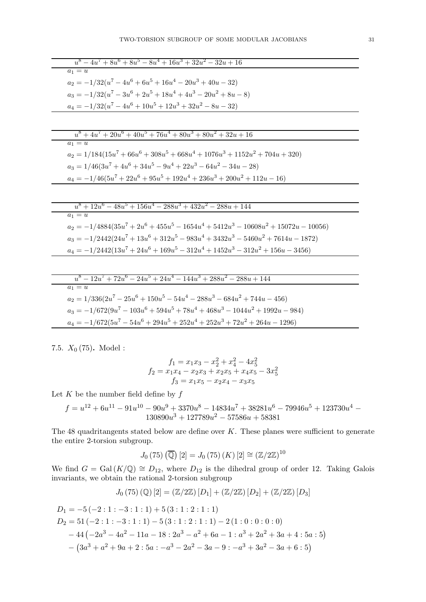| $u^8 - 4u^7 + 8u^6 + 8u^5 - 8u^4 + 16u^3 + 32u^2 - 32u + 16$                           |
|----------------------------------------------------------------------------------------|
| $a_1 = u$                                                                              |
| $a_2 = -1/32(u^7 - 4u^6 + 6u^5 + 16u^4 - 20u^3 + 40u - 32)$                            |
| $a_3 = -1/32(u^7 - 3u^6 + 2u^5 + 18u^4 + 4u^3 - 20u^2 + 8u - 8)$                       |
| $a_4 = -1/32(u^7 - 4u^6 + 10u^5 + 12u^3 + 32u^2 - 8u - 32)$                            |
|                                                                                        |
|                                                                                        |
| $u^8 + 4u^7 + 20u^6 + 40u^5 + 76u^4 + 80u^3 + 80u^2 + 32u + 16$<br>$a_1 = u$           |
|                                                                                        |
| $a_2 = 1/184(15u^7 + 66u^6 + 308u^5 + 668u^4 + 1076u^3 + 1152u^2 + 704u + 320)$        |
| $a_3 = 1/46(3u^7 + 4u^6 + 34u^5 - 9u^4 + 22u^3 - 64u^2 - 34u - 28)$                    |
| $a_4 = -1/46(5u^7 + 22u^6 + 95u^5 + 192u^4 + 236u^3 + 200u^2 + 112u - 16)$             |
|                                                                                        |
|                                                                                        |
| $u^8 + 12u^6 - 48u^5 + 156u^4 - 288u^3 + 432u^2 - 288u + 144$                          |
| $a_1 = u$                                                                              |
| $a_2 = -1/4884(35u^7 + 2u^6 + 455u^5 - 1654u^4 + 5412u^3 - 10608u^2 + 15072u - 10056)$ |
| $a_3 = -1/2442(24u^7 + 13u^6 + 312u^5 - 983u^4 + 3432u^3 - 5460u^2 + 7614u - 1872)$    |
| $a_4 = -1/2442(13u^7 + 24u^6 + 169u^5 - 312u^4 + 1452u^3 - 312u^2 + 156u - 3456)$      |
|                                                                                        |
|                                                                                        |
| $94.5 + 94.4 = 144.3 + 988.2 = 988.1144$<br>$10^{11} + 70^{10}$<br>ర                   |

$$
u - 12u + 72u - 24u + 24u - 144u + 288u - 288u + 144u
$$
  
\n
$$
a_1 = u
$$
  
\n
$$
a_2 = 1/336(2u^7 - 25u^6 + 150u^5 - 54u^4 - 288u^3 - 684u^2 + 744u - 456)
$$
  
\n
$$
a_3 = -1/672(9u^7 - 103u^6 + 594u^5 + 78u^4 + 468u^3 - 1044u^2 + 1992u - 984)
$$
  
\n
$$
a_4 = -1/672(5u^7 - 54u^6 + 294u^5 + 252u^4 + 252u^3 + 72u^2 + 264u - 1296)
$$

7.5.  $X_0$  (75). Model:

$$
f_1 = x_1x_3 - x_2^2 + x_4^2 - 4x_5^2
$$
  
\n
$$
f_2 = x_1x_4 - x_2x_3 + x_2x_5 + x_4x_5 - 3x_5^2
$$
  
\n
$$
f_3 = x_1x_5 - x_2x_4 - x_3x_5
$$

Let  $K$  be the number field define by  $f$ 

$$
f=u^{12}+6u^{11}-91u^{10}-90u^9+3370u^8-14834u^7+38281u^6-79946u^5+123730u^4-130890u^3+127789u^2-57586u+58381
$$

The 48 quadritangents stated below are define over  $K$ . These planes were sufficient to generate the entire 2-torsion subgroup.

$$
J_0(75) \left( \overline{\mathbb{Q}} \right) [2] = J_0(75) (K) [2] \cong (\mathbb{Z}/2\mathbb{Z})^{10}
$$

We find  $G = Gal(K/\mathbb{Q}) \cong D_{12}$ , where  $D_{12}$  is the dihedral group of order 12. Taking Galois invariants, we obtain the rational 2-torsion subgroup

$$
J_0(75)(\mathbb{Q})[2] = (\mathbb{Z}/2\mathbb{Z})[D_1] + (\mathbb{Z}/2\mathbb{Z})[D_2] + (\mathbb{Z}/2\mathbb{Z})[D_3]
$$

$$
D_1 = -5(-2:1:-3:1:1) + 5(3:1:2:1:1)
$$
  
\n
$$
D_2 = 51(-2:1:-3:1:1) - 5(3:1:2:1:1) - 2(1:0:0:0:0)
$$
  
\n
$$
-44(-2a^3 - 4a^2 - 11a - 18:2a^3 - a^2 + 6a - 1: a^3 + 2a^2 + 3a + 4:5a:5)
$$
  
\n
$$
-(3a^3 + a^2 + 9a + 2:5a: -a^3 - 2a^2 - 3a - 9: -a^3 + 3a^2 - 3a + 6:5)
$$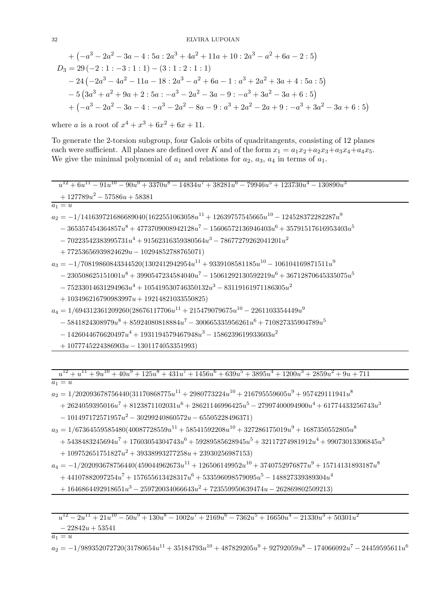+ 
$$
(-a^3 - 2a^2 - 3a - 4 : 5a : 2a^3 + 4a^2 + 11a + 10 : 2a^3 - a^2 + 6a - 2 : 5)
$$
  
\n $D_3 = 29 (-2 : 1 : -3 : 1 : 1) - (3 : 1 : 2 : 1 : 1)$   
\n $- 24 (-2a^3 - 4a^2 - 11a - 18 : 2a^3 - a^2 + 6a - 1 : a^3 + 2a^2 + 3a + 4 : 5a : 5)$   
\n $- 5 (3a^3 + a^2 + 9a + 2 : 5a : -a^3 - 2a^2 - 3a - 9 : -a^3 + 3a^2 - 3a + 6 : 5)$   
\n $+ (-a^3 - 2a^2 - 3a - 4 : -a^3 - 2a^2 - 8a - 9 : a^3 + 2a^2 - 2a + 9 : -a^3 + 3a^2 - 3a + 6 : 5)$ 

where *a* is a root of  $x^4 + x^3 + 6x^2 + 6x + 11$ .

To generate the 2-torsion subgroup, four Galois orbits of quadritangents, consisting of 12 planes each were sufficient. All planes are defined over K and of the form  $x_1 = a_1x_2 + a_2x_3 + a_3x_4 + a_4x_5$ . We give the minimal polynomial of  $a_1$  and relations for  $a_2$ ,  $a_3$ ,  $a_4$  in terms of  $a_1$ .

$$
\begin{array}{l} \hline u^{12} + 6u^{11} - 91u^{10} - 90u^9 + 3370u^8 - 14834u^7 + 38281u^6 - 79946u^5 + 123730u^4 - 130890u^3 \\ \hline \\ \hline a_1 = u \\ a_2 = -1/141639721686689040(1622551063058u^{11} + 12639757545665u^{10} - 124528372282287u^9 \\ \hline \\ \hline \\ - 365357454364857u^8 + 4773709008942128u^7 - 15606572136946403u^6 + 35791517616953403u^5 \\ \hline \\ - 70223542383995731u^4 + 91562316359380564u^3 - 78677279262041201u^2 \\ \hline \\ + 77253656939824629u - 10294852788765071) \\ a_3 = -1/70819860843344520(1302412942954u^{11} + 9339108581185u^{10} - 106104169871511u^9 \\ \hline \\ - 230508625151001u^8 + 3990547234584040u^7 - 15061292130592219u^6 + 36712870645335075u^5 \\ \hline \\ - 75233014631294963u^4 + 105419530746350132u^3 - 83119161971186305u^2 \\ \hline \\ a_4 = 1/694312361209260(28676117706u^{11} + 215479079675u^{10} - 2261103354449u^9 \\ \hline \\ - 5841824308979u^8 +
$$

 $+1077745224386903u - 1301174053351993$ 

 $u^{12} + u^{11} + 9u^{10} + 40u^9 + 125u^8 + 431u^7 + 1456u^6 + 639u^5 + 3895u^4 + 1200u^3 + 2859u^2 + 9u + 711$ 

 $a_1 = u$ 

 $a_2 = 1/202093678756440(31170868775u^{11} + 2980773224u^{10} + 216795559605u^9 + 957429111941u^8$ 

 $+2624059395016u^7 + 8123871102031u^6 + 28621146996425u^5 - 27997400094900u^4 + 61774433256743u^3$ 

 $-101497172571957u^2 - 30299240860572u - 65505228496371)$ 

 $a_3 = 1/67364559585480(40087728559u^{11} + 58541592208u^{10} + 327286175019u^9 + 1687350552805u^8$ 

 $+ 5438483245694u^7 + 17603054304743u^6 + 59289585628945u^5 + 32117274981912u^4 + 99073013306845u^3$ 

 $+109752651751827u^2+39338993277258u+23930256987153$ 

 $a_4 = -1/202093678756440(459044962673u^{11} + 126506149952u^{10} + 3740752976877u^9 + 15714131893187u^8$ 

 $+ 44107882097254u^{7} + 157655613428317u^{6} + 533596098579095u^{5} - 148827339389304u^{4}$ 

 $+1646864492918651u^3 - 259720034066643u^2 + 723559950639474u - 262869802509213$ 

 $u^{12} - 2u^{11} + 21u^{10} - 50u^9 + 130u^8 - 1002u^7 + 2169u^6 - 7362u^5 + 16650u^4 - 21330u^3 + 50301u^2$ 

 $-22842u + 53541$ 

 $a_1 = u$ 

 $a_2 = -1/989352072720(31780654u^{11} + 35184793u^{10} + 487829205u^9 + 92792059u^8 - 174066092u^7 - 24459595611u^6$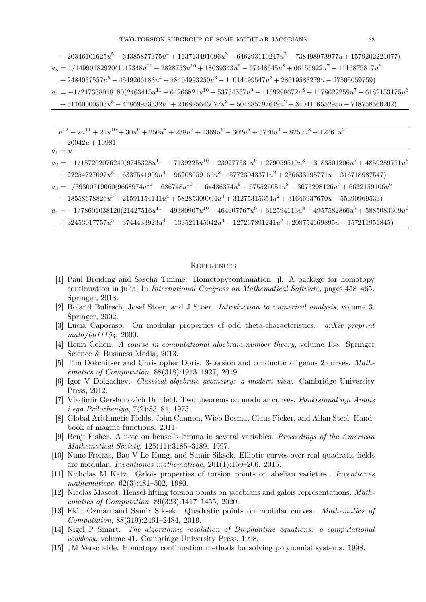$- 20346101625u^5 - 64385877375u^4 + 113713491096u^3 + 646293110247u^2 + 738498973977u + 1579202221077)$  $a_3 = 1/14990182920(1112348u^{11} - 2828753u^{10} + 18039343u^9 - 67448645u^8 + 66156922u^7 - 1115875817u^6$  $+ 2484057557u^5 - 4549266183u^4 + 18404993250u^3 - 11014499547u^2 + 28019583279u - 27505059759)$  $a_4 = -1/247338018180(2463415u^{11} - 64266821u^{10} + 53734557u^9 - 1159298672u^8 + 1178622259u^7 - 6182153175u^6$  $+ 51160000503u^5 - 42869953332u^4 + 246825643077u^3 - 504885797649u^2 + 340411655295u - 748758560202)$ 

 $u^{12} - 2u^{11} + 21u^{10} + 30u^9 + 250u^8 + 238u^7 + 1369u^6 - 602u^5 + 5770u^4 - 8250u^3 + 12261u^2$ 

 $-20042u+10981$ 

 $a_1 = u$ 

 $a_2 = -1/157202076240(9745328u^{11} - 17139225u^{10} + 239277331u^9 + 279059519u^8 + 3183501206u^7 + 4859289751u^6$  $+ 22254727097u^5 + 6337541909u^4 + 96208059166u^3 - 57723043371u^2 + 236633195771u - 316718987547$  $a_3 = 1/39300519060(9668974u^{11} - 686748u^{10} + 164436374u^9 + 675526051u^8 + 3075298126u^7 + 6622159106u^6$ 

 $+ 18558678826u^5 + 21591154141u^4 + 58285309094u^3 + 31275315354u^2 + 31646937670u - 55390969533)$ 

 $a_4 = -1/78601038120(21427516u^{11} - 49380907u^{10} + 464907767u^9 + 612594113u^8 + 4957582866u^7 + 5885083309u^6$ 

 $+32453017757u^5+3744433923u^4+133521145042u^3-127267891241u^2+208754169895u-157211951845)$ 

## **REFERENCES**

- <span id="page-32-8"></span>[1] Paul Breiding and Sascha Timme. Homotopycontinuation. jl: A package for homotopy continuation in julia. In *International Congress on Mathematical Software*, pages 458–465. Springer, 2018.
- <span id="page-32-7"></span>[2] Roland Bulirsch, Josef Stoer, and J Stoer. *Introduction to numerical analysis*, volume 3. Springer, 2002.
- <span id="page-32-4"></span>[3] Lucia Caporaso. On modular properties of odd theta-characteristics. arXiv preprint  $math/0011154$ , 2000.
- <span id="page-32-11"></span>[4] Henri Cohen. A course in computational algebraic number theory, volume 138. Springer Science & Business Media, 2013.
- <span id="page-32-2"></span>[5] Tim Dokchitser and Christopher Doris. 3-torsion and conductor of genus 2 curves. Mathematics of Computation, 88(318):1913-1927, 2019.
- <span id="page-32-5"></span>[6] Igor V Dolgachev. Classical algebraic geometry: a modern view. Cambridge University Press, 2012.
- <span id="page-32-0"></span>[7] Vladimir Gershonovich Drinfeld. Two theorems on modular curves. Funktsional'nyi Analiz  $i \, \text{ego Prilozheniya}, \, 7(2):83-84, \, 1973.$
- <span id="page-32-10"></span>[8] Global Arithmetic Fields, John Cannon, Wieb Bosma, Claus Fieker, and Allan Steel. Handbook of magma functions. 2011.
- <span id="page-32-6"></span>[9] Benji Fisher. A note on hensel's lemma in several variables. *Proceedings of the American Mathematical Society,* 125(11):3185-3189, 1997.
- <span id="page-32-13"></span>[10] Nuno Freitas, Bao V Le Hung, and Samir Siksek. Elliptic curves over real quadratic fields are modular. *Inventiones mathematicae*,  $201(1):159-206$ ,  $2015$ .
- <span id="page-32-14"></span>[11] Nicholas M Katz. Galois properties of torsion points on abelian varieties. *Inventiones* mathematicae,  $62(3):481-502$ , 1980.
- <span id="page-32-3"></span>[12] Nicolas Mascot. Hensel-lifting torsion points on jacobians and galois representations. Mathematics of Computation,  $89(323):1417-1455$ , 2020.
- <span id="page-32-1"></span>[13] Ekin Ozman and Samir Siksek. Quadratic points on modular curves. Mathematics of Computation, 88(319):2461-2484, 2019.
- <span id="page-32-12"></span>[14] Nigel P Smart. The algorithmic resolution of Diophantine equations: a computational cookbook, volume 41. Cambridge University Press, 1998.
- <span id="page-32-9"></span>[15] JM Verschelde. Homotopy continuation methods for solving polynomial systems. 1998.